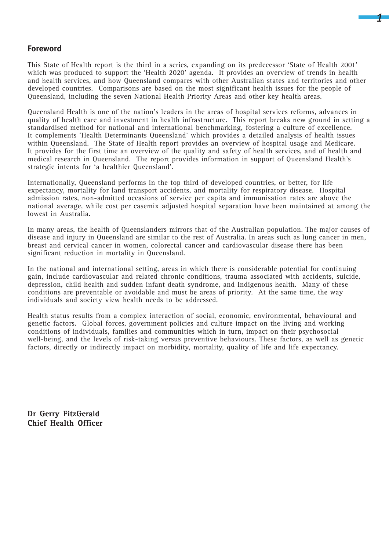## **Foreword**

This State of Health report is the third in a series, expanding on its predecessor 'State of Health 2001' which was produced to support the 'Health 2020' agenda. It provides an overview of trends in health and health services, and how Queensland compares with other Australian states and territories and other developed countries. Comparisons are based on the most significant health issues for the people of Queensland, including the seven National Health Priority Areas and other key health areas.

*1*

Queensland Health is one of the nation's leaders in the areas of hospital services reforms, advances in quality of health care and investment in health infrastructure. This report breaks new ground in setting a standardised method for national and international benchmarking, fostering a culture of excellence. It complements 'Health Determinants Queensland' which provides a detailed analysis of health issues within Queensland. The State of Health report provides an overview of hospital usage and Medicare. It provides for the first time an overview of the quality and safety of health services, and of health and medical research in Queensland. The report provides information in support of Queensland Health's strategic intents for 'a healthier Queensland'.

Internationally, Queensland performs in the top third of developed countries, or better, for life expectancy, mortality for land transport accidents, and mortality for respiratory disease. Hospital admission rates, non-admitted occasions of service per capita and immunisation rates are above the national average, while cost per casemix adjusted hospital separation have been maintained at among the lowest in Australia.

In many areas, the health of Queenslanders mirrors that of the Australian population. The major causes of disease and injury in Queensland are similar to the rest of Australia. In areas such as lung cancer in men, breast and cervical cancer in women, colorectal cancer and cardiovascular disease there has been significant reduction in mortality in Queensland.

In the national and international setting, areas in which there is considerable potential for continuing gain, include cardiovascular and related chronic conditions, trauma associated with accidents, suicide, depression, child health and sudden infant death syndrome, and Indigenous health. Many of these conditions are preventable or avoidable and must be areas of priority. At the same time, the way individuals and society view health needs to be addressed.

Health status results from a complex interaction of social, economic, environmental, behavioural and genetic factors. Global forces, government policies and culture impact on the living and working conditions of individuals, families and communities which in turn, impact on their psychosocial well-being, and the levels of risk-taking versus preventive behaviours. These factors, as well as genetic factors, directly or indirectly impact on morbidity, mortality, quality of life and life expectancy.

Dr Gerry FitzGerald Chief Health Officer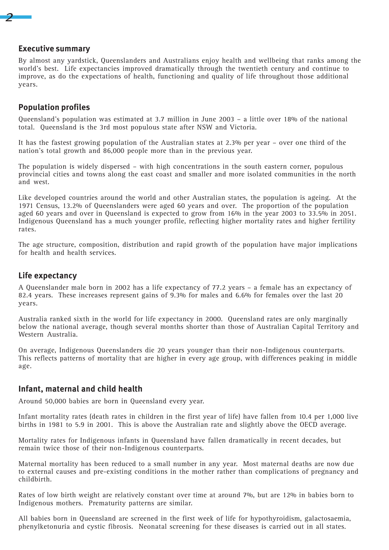## **Executive summary**

*2*

By almost any yardstick, Queenslanders and Australians enjoy health and wellbeing that ranks among the world's best. Life expectancies improved dramatically through the twentieth century and continue to improve, as do the expectations of health, functioning and quality of life throughout those additional years.

## **Population profiles**

Queensland's population was estimated at 3.7 million in June 2003 – a little over 18% of the national total. Queensland is the 3rd most populous state after NSW and Victoria.

It has the fastest growing population of the Australian states at 2.3% per year – over one third of the nation's total growth and 86,000 people more than in the previous year.

The population is widely dispersed – with high concentrations in the south eastern corner, populous provincial cities and towns along the east coast and smaller and more isolated communities in the north and west.

Like developed countries around the world and other Australian states, the population is ageing. At the 1971 Census, 13.2% of Queenslanders were aged 60 years and over. The proportion of the population aged 60 years and over in Queensland is expected to grow from 16% in the year 2003 to 33.5% in 2051. Indigenous Queensland has a much younger profile, reflecting higher mortality rates and higher fertility rates.

The age structure, composition, distribution and rapid growth of the population have major implications for health and health services.

## **Life expectancy**

A Queenslander male born in 2002 has a life expectancy of 77.2 years – a female has an expectancy of 82.4 years. These increases represent gains of 9.3% for males and 6.6% for females over the last 20 years.

Australia ranked sixth in the world for life expectancy in 2000. Queensland rates are only marginally below the national average, though several months shorter than those of Australian Capital Territory and Western Australia.

On average, Indigenous Queenslanders die 20 years younger than their non-Indigenous counterparts. This reflects patterns of mortality that are higher in every age group, with differences peaking in middle age.

## **Infant, maternal and child health**

Around 50,000 babies are born in Queensland every year.

Infant mortality rates (death rates in children in the first year of life) have fallen from 10.4 per 1,000 live births in 1981 to 5.9 in 2001. This is above the Australian rate and slightly above the OECD average.

Mortality rates for Indigenous infants in Queensland have fallen dramatically in recent decades, but remain twice those of their non-Indigenous counterparts.

Maternal mortality has been reduced to a small number in any year. Most maternal deaths are now due to external causes and pre-existing conditions in the mother rather than complications of pregnancy and childbirth.

Rates of low birth weight are relatively constant over time at around 7%, but are 12% in babies born to Indigenous mothers. Prematurity patterns are similar.

All babies born in Queensland are screened in the first week of life for hypothyroidism, galactosaemia, phenylketonuria and cystic fibrosis. Neonatal screening for these diseases is carried out in all states.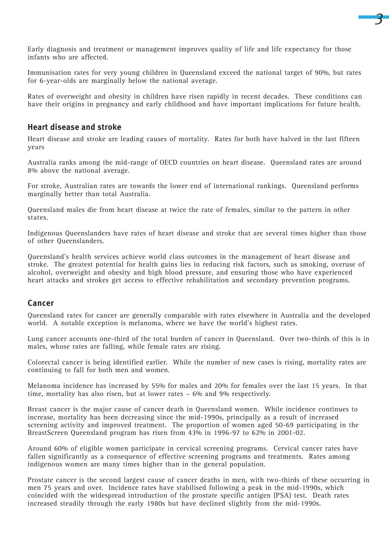

Early diagnosis and treatment or management improves quality of life and life expectancy for those infants who are affected.

Immunisation rates for very young children in Queensland exceed the national target of 90%, but rates for 6-year-olds are marginally below the national average.

Rates of overweight and obesity in children have risen rapidly in recent decades. These conditions can have their origins in pregnancy and early childhood and have important implications for future health.

## **Heart disease and stroke**

Heart disease and stroke are leading causes of mortality. Rates for both have halved in the last fifteen years

Australia ranks among the mid-range of OECD countries on heart disease. Queensland rates are around 8% above the national average.

For stroke, Australian rates are towards the lower end of international rankings. Queensland performs marginally better than total Australia.

Queensland males die from heart disease at twice the rate of females, similar to the pattern in other states.

Indigenous Queenslanders have rates of heart disease and stroke that are several times higher than those of other Queenslanders.

Queensland's health services achieve world class outcomes in the management of heart disease and stroke. The greatest potential for health gains lies in reducing risk factors, such as smoking, overuse of alcohol, overweight and obesity and high blood pressure, and ensuring those who have experienced heart attacks and strokes get access to effective rehabilitation and secondary prevention programs.

## **Cancer**

Queensland rates for cancer are generally comparable with rates elsewhere in Australia and the developed world. A notable exception is melanoma, where we have the world's highest rates.

Lung cancer accounts one-third of the total burden of cancer in Queensland. Over two-thirds of this is in males, whose rates are falling, while female rates are rising.

Colorectal cancer is being identified earlier. While the number of new cases is rising, mortality rates are continuing to fall for both men and women.

Melanoma incidence has increased by 55% for males and 20% for females over the last 15 years. In that time, mortality has also risen, but at lower rates – 6% and 9% respectively.

Breast cancer is the major cause of cancer death in Queensland women. While incidence continues to increase, mortality has been decreasing since the mid-1990s, principally as a result of increased screening activity and improved treatment. The proportion of women aged 50-69 participating in the BreastScreen Queensland program has risen from 43% in 1996-97 to 62% in 2001-02.

Around 60% of eligible women participate in cervical screening programs. Cervical cancer rates have fallen significantly as a consequence of effective screening programs and treatments. Rates among indigenous women are many times higher than in the general population.

Prostate cancer is the second largest cause of cancer deaths in men, with two-thirds of these occurring in men 75 years and over. Incidence rates have stabilised following a peak in the mid-1990s, which coincided with the widespread introduction of the prostate specific antigen (PSA) test. Death rates increased steadily through the early 1980s but have declined slightly from the mid-1990s.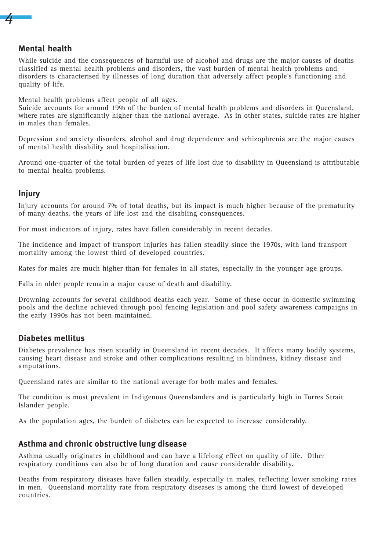# **Mental health**

*4*

While suicide and the consequences of harmful use of alcohol and drugs are the major causes of deaths classified as mental health problems and disorders, the vast burden of mental health problems and disorders is characterised by illnesses of long duration that adversely affect people's functioning and quality of life.

Mental health problems affect people of all ages.

Suicide accounts for around 19% of the burden of mental health problems and disorders in Queensland, where rates are significantly higher than the national average. As in other states, suicide rates are higher in males than females.

Depression and anxiety disorders, alcohol and drug dependence and schizophrenia are the major causes of mental health disability and hospitalisation.

Around one-quarter of the total burden of years of life lost due to disability in Queensland is attributable to mental health problems.

## **Injury**

Injury accounts for around 7% of total deaths, but its impact is much higher because of the prematurity of many deaths, the years of life lost and the disabling consequences.

For most indicators of injury, rates have fallen considerably in recent decades.

The incidence and impact of transport injuries has fallen steadily since the 1970s, with land transport mortality among the lowest third of developed countries.

Rates for males are much higher than for females in all states, especially in the younger age groups.

Falls in older people remain a major cause of death and disability.

Drowning accounts for several childhood deaths each year. Some of these occur in domestic swimming pools and the decline achieved through pool fencing legislation and pool safety awareness campaigns in the early 1990s has not been maintained.

## **Diabetes mellitus**

Diabetes prevalence has risen steadily in Queensland in recent decades. It affects many bodily systems, causing heart disease and stroke and other complications resulting in blindness, kidney disease and amputations.

Queensland rates are similar to the national average for both males and females.

The condition is most prevalent in Indigenous Queenslanders and is particularly high in Torres Strait Islander people.

As the population ages, the burden of diabetes can be expected to increase considerably.

## **Asthma and chronic obstructive lung disease**

Asthma usually originates in childhood and can have a lifelong effect on quality of life. Other respiratory conditions can also be of long duration and cause considerable disability.

Deaths from respiratory diseases have fallen steadily, especially in males, reflecting lower smoking rates in men. Queensland mortality rate from respiratory diseases is among the third lowest of developed countries.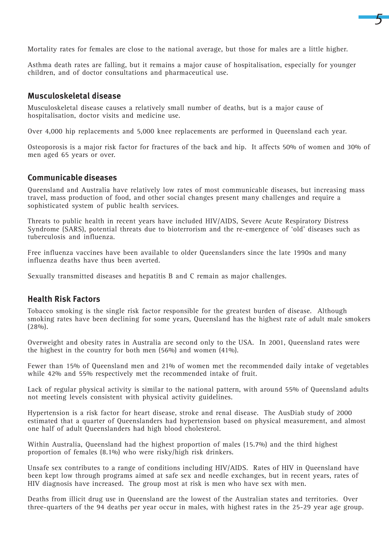Mortality rates for females are close to the national average, but those for males are a little higher.

*5*

Asthma death rates are falling, but it remains a major cause of hospitalisation, especially for younger children, and of doctor consultations and pharmaceutical use.

## **Musculoskeletal disease**

Musculoskeletal disease causes a relatively small number of deaths, but is a major cause of hospitalisation, doctor visits and medicine use.

Over 4,000 hip replacements and 5,000 knee replacements are performed in Queensland each year.

Osteoporosis is a major risk factor for fractures of the back and hip. It affects 50% of women and 30% of men aged 65 years or over.

## **Communicable diseases**

Queensland and Australia have relatively low rates of most communicable diseases, but increasing mass travel, mass production of food, and other social changes present many challenges and require a sophisticated system of public health services.

Threats to public health in recent years have included HIV/AIDS, Severe Acute Respiratory Distress Syndrome (SARS), potential threats due to bioterrorism and the re-emergence of 'old' diseases such as tuberculosis and influenza.

Free influenza vaccines have been available to older Queenslanders since the late 1990s and many influenza deaths have thus been averted.

Sexually transmitted diseases and hepatitis B and C remain as major challenges.

## **Health Risk Factors**

Tobacco smoking is the single risk factor responsible for the greatest burden of disease. Although smoking rates have been declining for some years, Queensland has the highest rate of adult male smokers (28%).

Overweight and obesity rates in Australia are second only to the USA. In 2001, Queensland rates were the highest in the country for both men (56%) and women (41%).

Fewer than 15% of Queensland men and 21% of women met the recommended daily intake of vegetables while 42% and 55% respectively met the recommended intake of fruit.

Lack of regular physical activity is similar to the national pattern, with around 55% of Queensland adults not meeting levels consistent with physical activity guidelines.

Hypertension is a risk factor for heart disease, stroke and renal disease. The AusDiab study of 2000 estimated that a quarter of Queenslanders had hypertension based on physical measurement, and almost one half of adult Queenslanders had high blood cholesterol.

Within Australia, Queensland had the highest proportion of males (15.7%) and the third highest proportion of females (8.1%) who were risky/high risk drinkers.

Unsafe sex contributes to a range of conditions including HIV/AIDS. Rates of HIV in Queensland have been kept low through programs aimed at safe sex and needle exchanges, but in recent years, rates of HIV diagnosis have increased. The group most at risk is men who have sex with men.

Deaths from illicit drug use in Queensland are the lowest of the Australian states and territories. Over three-quarters of the 94 deaths per year occur in males, with highest rates in the 25-29 year age group.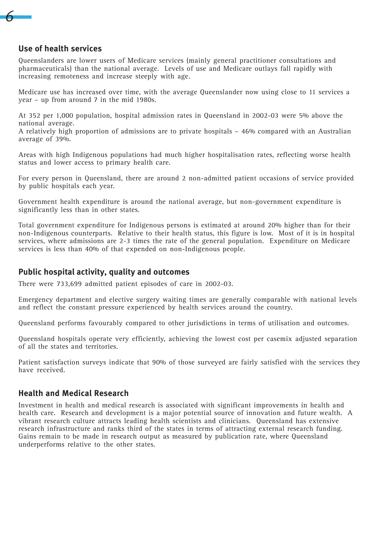

## **Use of health services**

Queenslanders are lower users of Medicare services (mainly general practitioner consultations and pharmaceuticals) than the national average. Levels of use and Medicare outlays fall rapidly with increasing remoteness and increase steeply with age.

Medicare use has increased over time, with the average Queenslander now using close to 11 services a year – up from around 7 in the mid 1980s.

At 352 per 1,000 population, hospital admission rates in Queensland in 2002-03 were 5% above the national average.

A relatively high proportion of admissions are to private hospitals – 46% compared with an Australian average of 39%.

Areas with high Indigenous populations had much higher hospitalisation rates, reflecting worse health status and lower access to primary health care.

For every person in Queensland, there are around 2 non-admitted patient occasions of service provided by public hospitals each year.

Government health expenditure is around the national average, but non-government expenditure is significantly less than in other states.

Total government expenditure for Indigenous persons is estimated at around 20% higher than for their non-Indigenous counterparts. Relative to their health status, this figure is low. Most of it is in hospital services, where admissions are 2-3 times the rate of the general population. Expenditure on Medicare services is less than 40% of that expended on non-Indigenous people.

## **Public hospital activity, quality and outcomes**

There were 733,699 admitted patient episodes of care in 2002-03.

Emergency department and elective surgery waiting times are generally comparable with national levels and reflect the constant pressure experienced by health services around the country.

Queensland performs favourably compared to other jurisdictions in terms of utilisation and outcomes.

Queensland hospitals operate very efficiently, achieving the lowest cost per casemix adjusted separation of all the states and territories.

Patient satisfaction surveys indicate that 90% of those surveyed are fairly satisfied with the services they have received.

## **Health and Medical Research**

Investment in health and medical research is associated with significant improvements in health and health care. Research and development is a major potential source of innovation and future wealth. A vibrant research culture attracts leading health scientists and clinicians. Queensland has extensive research infrastructure and ranks third of the states in terms of attracting external research funding. Gains remain to be made in research output as measured by publication rate, where Queensland underperforms relative to the other states.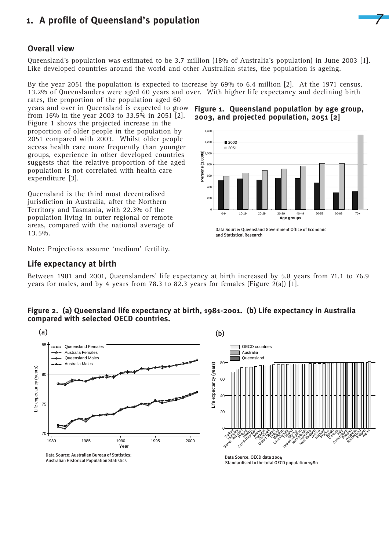

## **Overall view**

Queensland's population was estimated to be 3.7 million (18% of Australia's population) in June 2003 [1]. Like developed countries around the world and other Australian states, the population is ageing.

By the year 2051 the population is expected to increase by 69% to 6.4 million [2]. At the 1971 census, 13.2% of Queenslanders were aged 60 years and over. With higher life expectancy and declining birth rates, the proportion of the population aged 60

years and over in Queensland is expected to grow from 16% in the year 2003 to 33.5% in 2051 [2]. Figure 1 shows the projected increase in the proportion of older people in the population by 2051 compared with 2003. Whilst older people access health care more frequently than younger groups, experience in other developed countries suggests that the relative proportion of the aged population is not correlated with health care expenditure [3].

Queensland is the third most decentralised jurisdiction in Australia, after the Northern Territory and Tasmania, with 22.3% of the population living in outer regional or remote areas, compared with the national average of 13.5%.

Note: Projections assume 'medium' fertility.

#### **Life expectancy at birth**

Between 1981 and 2001, Queenslanders' life expectancy at birth increased by 5.8 years from 71.1 to 76.9 years for males, and by 4 years from 78.3 to 82.3 years for females (Figure 2(a)) [1].

## **Figure 2. (a) Queensland life expectancy at birth, 1981-2001. (b) Life expectancy in Australia compared with selected OECD countries.**



Standardised to the total OECD population 1980

**Figure 1. Queensland population by age group, 2003, and projected population, 2051 [2]**



 Data Source: Queensland Government Office of Economic and Statistical Research

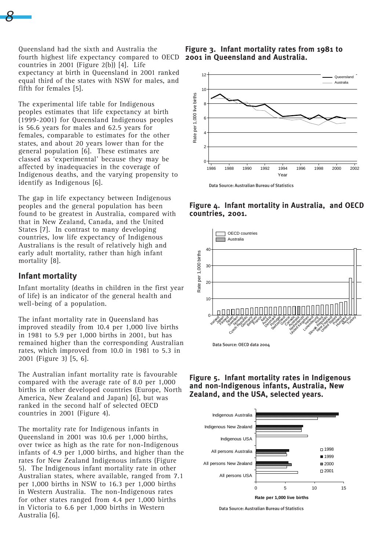Queensland had the sixth and Australia the fourth highest life expectancy compared to OECD countries in 2001 (Figure 2(b)) [4]. Life expectancy at birth in Queensland in 2001 ranked equal third of the states with NSW for males, and fifth for females [5].

The experimental life table for Indigenous peoples estimates that life expectancy at birth (1999-2001) for Queensland Indigenous peoples is 56.6 years for males and 62.5 years for females, comparable to estimates for the other states, and about 20 years lower than for the general population [6]. These estimates are classed as 'experimental' because they may be affected by inadequacies in the coverage of Indigenous deaths, and the varying propensity to identify as Indigenous [6].

The gap in life expectancy between Indigenous peoples and the general population has been found to be greatest in Australia, compared with that in New Zealand, Canada, and the United States [7]. In contrast to many developing countries, low life expectancy of Indigenous Australians is the result of relatively high and early adult mortality, rather than high infant mortality [8].

## **Infant mortality**

*8*

Infant mortality (deaths in children in the first year of life) is an indicator of the general health and well-being of a population.

The infant mortality rate in Queensland has improved steadily from 10.4 per 1,000 live births in 1981 to 5.9 per 1,000 births in 2001, but has remained higher than the corresponding Australian rates, which improved from 10.0 in 1981 to 5.3 in 2001 (Figure 3) [5, 6].

The Australian infant mortality rate is favourable compared with the average rate of 8.0 per 1,000 births in other developed countries (Europe, North America, New Zealand and Japan) [6], but was ranked in the second half of selected OECD countries in 2001 (Figure 4).

The mortality rate for Indigenous infants in Queensland in 2001 was 10.6 per 1,000 births, over twice as high as the rate for non-Indigenous infants of 4.9 per 1,000 births, and higher than the rates for New Zealand Indigenous infants (Figure 5). The Indigenous infant mortality rate in other Australian states, where available, ranged from 7.1 per 1,000 births in NSW to 16.3 per 1,000 births in Western Australia. The non-Indigenous rates for other states ranged from 4.4 per 1,000 births in Victoria to 6.6 per 1,000 births in Western Australia [6].

**Figure 3. Infant mortality rates from 1981 to 2001 in Queensland and Australia.**







**Figure 5. Infant mortality rates in Indigenous and non-Indigenous infants, Australia, New Zealand, and the USA, selected years.**



Data Source: Australian Bureau of Statistics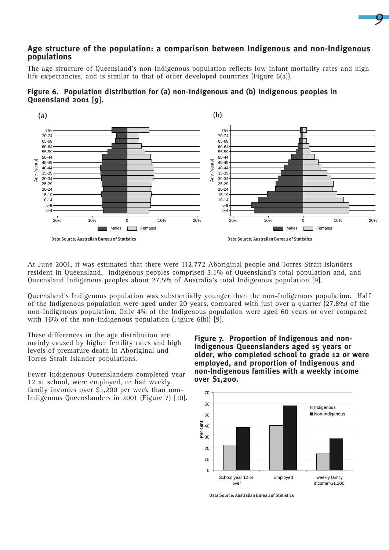## **Age structure of the population: a comparison between Indigenous and non-Indigenous populations**

The age structure of Queensland's non-Indigenous population reflects low infant mortality rates and high life expectancies, and is similar to that of other developed countries (Figure 6(a)).





At June 2001, it was estimated that there were 112,772 Aboriginal people and Torres Strait Islanders resident in Queensland. Indigenous peoples comprised 3.1% of Queensland's total population and, and Queensland Indigenous peoples about 27.5% of Australia's total Indigenous population [9].

Queensland's Indigenous population was substantially younger than the non-Indigenous population. Half of the Indigenous population were aged under 20 years, compared with just over a quarter (27.8%) of the non-Indigenous population. Only 4% of the Indigenous population were aged 60 years or over compared with 16% of the non-Indigenous population (Figure 6(b)) [9].

These differences in the age distribution are mainly caused by higher fertility rates and high levels of premature death in Aboriginal and Torres Strait Islander populations.

Fewer Indigenous Queenslanders completed year 12 at school, were employed, or had weekly family incomes over \$1,200 per week than non-Indigenous Queenslanders in 2001 (Figure 7) [10]. **Figure 7. Proportion of Indigenous and non-Indigenous Queenslanders aged 15 years or older, who completed school to grade 12 or were employed, and proportion of Indigenous and non-Indigenous families with a weekly income over \$1,200.**

*9*



Data Source: Australian Bureau of Statistics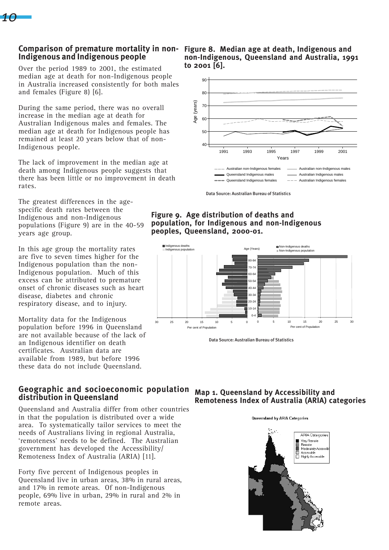

# **Indigenous and Indigenous people**

Over the period 1989 to 2001, the estimated median age at death for non-Indigenous people in Australia increased consistently for both males and females (Figure 8) [6].

During the same period, there was no overall increase in the median age at death for Australian Indigenous males and females. The median age at death for Indigenous people has remained at least 20 years below that of non-Indigenous people.

The lack of improvement in the median age at death among Indigenous people suggests that there has been little or no improvement in death rates.

The greatest differences in the agespecific death rates between the Indigenous and non-Indigenous populations (Figure 9) are in the 40-59 years age group.

In this age group the mortality rates are five to seven times higher for the Indigenous population than the non-Indigenous population. Much of this excess can be attributed to premature onset of chronic diseases such as heart disease, diabetes and chronic respiratory disease, and to injury.

Mortality data for the Indigenous population before 1996 in Queensland are not available because of the lack of an Indigenous identifier on death certificates. Australian data are available from 1989, but before 1996 these data do not include Queensland.

## **Geographic and socioeconomic population Map 1. Queensland by Accessibility and distribution in Queensland**

Queensland and Australia differ from other countries in that the population is distributed over a wide area. To systematically tailor services to meet the needs of Australians living in regional Australia, 'remoteness' needs to be defined. The Australian government has developed the Accessibility/ Remoteness Index of Australia (ARIA) [11].

Forty five percent of Indigenous peoples in Queensland live in urban areas, 38% in rural areas, and 17% in remote areas. Of non-Indigenous people, 69% live in urban, 29% in rural and 2% in remote areas.

**Comparison of premature mortality in non-Figure 8. Median age at death, Indigenous and non-Indigenous, Queensland and Australia, 1991 to 2001 [6].**



Data Source: Australian Bureau of Statistics

**Figure 9. Age distribution of deaths and population, for Indigenous and non-Indigenous peoples, Queensland, 2000-01.**



Data Source: Australian Bureau of Statistics

# **Remoteness Index of Australia (ARIA) categories**

#### Queensland by ARIA Categories

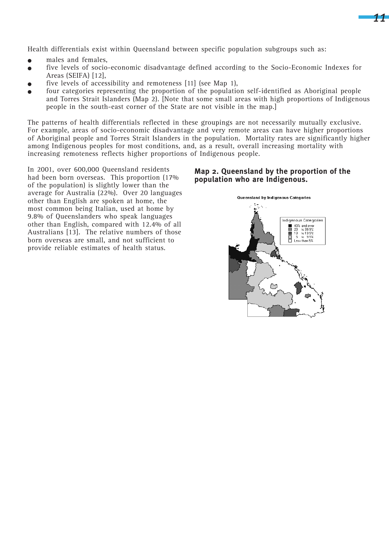Health differentials exist within Queensland between specific population subgroups such as:

- males and females,
- <sup>O</sup> five levels of socio-economic disadvantage defined according to the Socio-Economic Indexes for Areas (SEIFA) [12],
- five levels of accessibility and remoteness [11] (see Map 1),
- $\bullet$  four categories representing the proportion of the population self-identified as Aboriginal people and Torres Strait Islanders (Map 2). [Note that some small areas with high proportions of Indigenous people in the south-east corner of the State are not visible in the map.]

The patterns of health differentials reflected in these groupings are not necessarily mutually exclusive. For example, areas of socio-economic disadvantage and very remote areas can have higher proportions of Aboriginal people and Torres Strait Islanders in the population. Mortality rates are significantly higher among Indigenous peoples for most conditions, and, as a result, overall increasing mortality with increasing remoteness reflects higher proportions of Indigenous people.

In 2001, over 600,000 Queensland residents had been born overseas. This proportion (17% of the population) is slightly lower than the average for Australia (22%). Over 20 languages other than English are spoken at home, the most common being Italian, used at home by 9.8% of Queenslanders who speak languages other than English, compared with 12.4% of all Australians [13]. The relative numbers of those born overseas are small, and not sufficient to provide reliable estimates of health status.

#### **Map 2. Queensland by the proportion of the population who are Indigenous.**

*11*

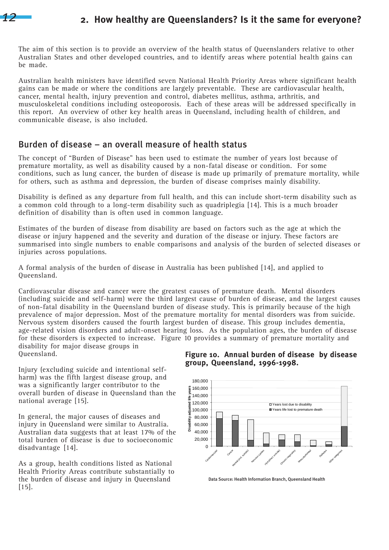

# **2. How healthy are Queenslanders? Is it the same for everyone?**

The aim of this section is to provide an overview of the health status of Queenslanders relative to other Australian States and other developed countries, and to identify areas where potential health gains can be made.

Australian health ministers have identified seven National Health Priority Areas where significant health gains can be made or where the conditions are largely preventable. These are cardiovascular health, cancer, mental health, injury prevention and control, diabetes mellitus, asthma, arthritis, and musculoskeletal conditions including osteoporosis. Each of these areas will be addressed specifically in this report. An overview of other key health areas in Queensland, including health of children, and communicable disease, is also included.

# Burden of disease – an overall measure of health status

The concept of "Burden of Disease" has been used to estimate the number of years lost because of premature mortality, as well as disability caused by a non-fatal disease or condition. For some conditions, such as lung cancer, the burden of disease is made up primarily of premature mortality, while for others, such as asthma and depression, the burden of disease comprises mainly disability.

Disability is defined as any departure from full health, and this can include short-term disability such as a common cold through to a long-term disability such as quadriplegia [14]. This is a much broader definition of disability than is often used in common language.

Estimates of the burden of disease from disability are based on factors such as the age at which the disease or injury happened and the severity and duration of the disease or injury. These factors are summarised into single numbers to enable comparisons and analysis of the burden of selected diseases or injuries across populations.

A formal analysis of the burden of disease in Australia has been published [14], and applied to Queensland.

Cardiovascular disease and cancer were the greatest causes of premature death. Mental disorders (including suicide and self-harm) were the third largest cause of burden of disease, and the largest causes of non-fatal disability in the Queensland burden of disease study. This is primarily because of the high prevalence of major depression. Most of the premature mortality for mental disorders was from suicide. Nervous system disorders caused the fourth largest burden of disease. This group includes dementia, age-related vision disorders and adult-onset hearing loss. As the population ages, the burden of disease for these disorders is expected to increase. Figure 10 provides a summary of premature mortality and disability for major disease groups in

Queensland.

Injury (excluding suicide and intentional selfharm) was the fifth largest disease group, and was a significantly larger contributor to the overall burden of disease in Queensland than the national average [15].

In general, the major causes of diseases and injury in Queensland were similar to Australia. Australian data suggests that at least 17% of the total burden of disease is due to socioeconomic disadvantage [14].

As a group, health conditions listed as National Health Priority Areas contribute substantially to the burden of disease and injury in Queensland [15].

#### **Figure 10. Annual burden of disease by disease group, Queensland, 1996-1998.**



Data Source: Health Information Branch, Queensland Health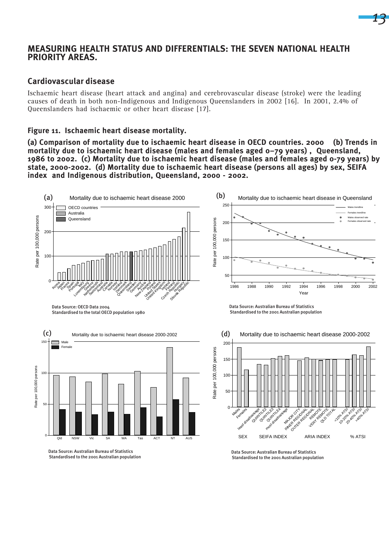## **MEASURING HEALTH STATUS AND DIFFERENTIALS: THE SEVEN NATIONAL HEALTH PRIORITY AREAS.**

#### **Cardiovascular disease**

Ischaemic heart disease (heart attack and angina) and cerebrovascular disease (stroke) were the leading causes of death in both non-Indigenous and Indigenous Queenslanders in 2002 [16]. In 2001, 2.4% of Queenslanders had ischaemic or other heart disease [17].

#### **Figure 11. Ischaemic heart disease mortality.**

**(a) Comparison of mortality due to ischaemic heart disease in OECD countries. 2000 (b) Trends in mortality due to ischaemic heart disease (males and females aged 0–79 years) , Queensland, 1986 to 2002. (c) Mortality due to ischaemic heart disease (males and females aged 0-79 years) by state, 2000-2002. (d) Mortality due to ischaemic heart disease (persons all ages) by sex, SEIFA index and Indigenous distribution, Queensland, 2000 - 2002.**



Standardised to the 2001 Australian population

Standardised to the 2001 Australian population

*13*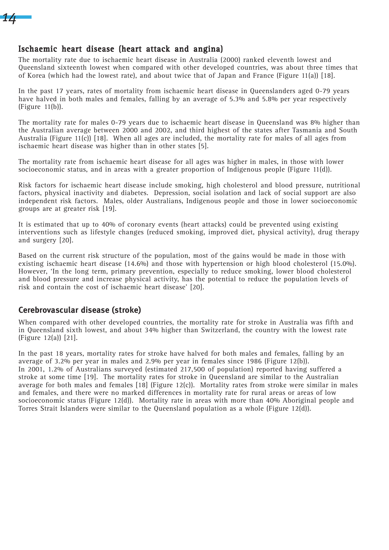

## Ischaemic heart disease (heart attack and angina)

The mortality rate due to ischaemic heart disease in Australia (2000) ranked eleventh lowest and Queensland sixteenth lowest when compared with other developed countries, was about three times that of Korea (which had the lowest rate), and about twice that of Japan and France (Figure 11(a)) [18].

In the past 17 years, rates of mortality from ischaemic heart disease in Queenslanders aged 0-79 years have halved in both males and females, falling by an average of 5.3% and 5.8% per year respectively (Figure 11(b)).

The mortality rate for males 0-79 years due to ischaemic heart disease in Queensland was 8% higher than the Australian average between 2000 and 2002, and third highest of the states after Tasmania and South Australia (Figure 11(c)) [18]. When all ages are included, the mortality rate for males of all ages from ischaemic heart disease was higher than in other states [5].

The mortality rate from ischaemic heart disease for all ages was higher in males, in those with lower socioeconomic status, and in areas with a greater proportion of Indigenous people (Figure 11(d)).

Risk factors for ischaemic heart disease include smoking, high cholesterol and blood pressure, nutritional factors, physical inactivity and diabetes. Depression, social isolation and lack of social support are also independent risk factors. Males, older Australians, Indigenous people and those in lower socioeconomic groups are at greater risk [19].

It is estimated that up to 40% of coronary events (heart attacks) could be prevented using existing interventions such as lifestyle changes (reduced smoking, improved diet, physical activity), drug therapy and surgery [20].

Based on the current risk structure of the population, most of the gains would be made in those with existing ischaemic heart disease (14.6%) and those with hypertension or high blood cholesterol (15.0%). However, 'In the long term, primary prevention, especially to reduce smoking, lower blood cholesterol and blood pressure and increase physical activity, has the potential to reduce the population levels of risk and contain the cost of ischaemic heart disease' [20].

## **Cerebrovascular disease (stroke)**

When compared with other developed countries, the mortality rate for stroke in Australia was fifth and in Queensland sixth lowest, and about 34% higher than Switzerland, the country with the lowest rate (Figure 12(a)) [21].

In the past 18 years, mortality rates for stroke have halved for both males and females, falling by an average of 3.2% per year in males and 2.9% per year in females since 1986 (Figure 12(b)). In 2001, 1.2% of Australians surveyed (estimated 217,500 of population) reported having suffered a stroke at some time [19]. The mortality rates for stroke in Queensland are similar to the Australian average for both males and females [18] (Figure 12(c)). Mortality rates from stroke were similar in males and females, and there were no marked differences in mortality rate for rural areas or areas of low socioeconomic status (Figure 12(d)). Mortality rate in areas with more than 40% Aboriginal people and Torres Strait Islanders were similar to the Queensland population as a whole (Figure 12(d)).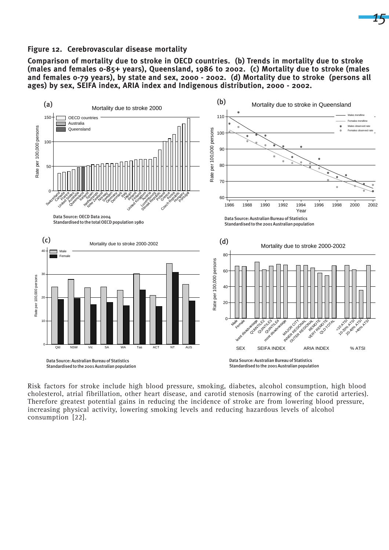#### **Figure 12. Cerebrovascular disease mortality**

**Comparison of mortality due to stroke in OECD countries. (b) Trends in mortality due to stroke (males and females 0-85+ years), Queensland, 1986 to 2002. (c) Mortality due to stroke (males and females 0-79 years), by state and sex, 2000 - 2002. (d) Mortality due to stroke (persons all ages) by sex, SEIFA index, ARIA index and Indigenous distribution, 2000 - 2002.**

*15*



Risk factors for stroke include high blood pressure, smoking, diabetes, alcohol consumption, high blood cholesterol, atrial fibrillation, other heart disease, and carotid stenosis (narrowing of the carotid arteries). Therefore greatest potential gains in reducing the incidence of stroke are from lowering blood pressure, increasing physical activity, lowering smoking levels and reducing hazardous levels of alcohol consumption [22].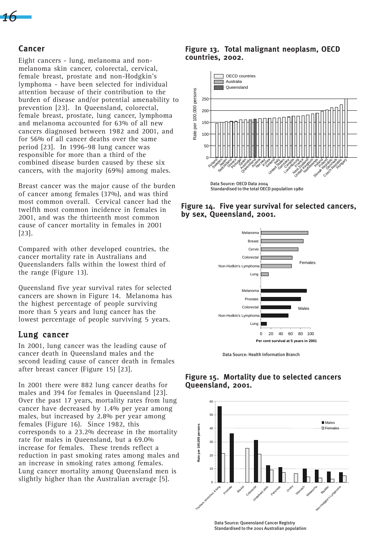

#### **Cancer**

Eight cancers - lung, melanoma and nonmelanoma skin cancer, colorectal, cervical, female breast, prostate and non-Hodgkin's lymphoma - have been selected for individual attention because of their contribution to the burden of disease and/or potential amenability to prevention [23]. In Queensland, colorectal, female breast, prostate, lung cancer, lymphoma and melanoma accounted for 63% of all new cancers diagnosed between 1982 and 2001, and for 56% of all cancer deaths over the same period [23]. In 1996-98 lung cancer was responsible for more than a third of the combined disease burden caused by these six cancers, with the majority (69%) among males.

Breast cancer was the major cause of the burden of cancer among females (37%), and was third most common overall. Cervical cancer had the twelfth most common incidence in females in 2001, and was the thirteenth most common cause of cancer mortality in females in 2001 [23].

Compared with other developed countries, the cancer mortality rate in Australians and Queenslanders falls within the lowest third of the range (Figure 13).

Queensland five year survival rates for selected cancers are shown in Figure 14. Melanoma has the highest percentage of people surviving more than 5 years and lung cancer has the lowest percentage of people surviving 5 years.

#### Lung cancer

In 2001, lung cancer was the leading cause of cancer death in Queensland males and the second leading cause of cancer death in females after breast cancer (Figure 15) [23].

In 2001 there were 882 lung cancer deaths for males and 394 for females in Queensland [23]. Over the past 17 years, mortality rates from lung cancer have decreased by 1.4% per year among males, but increased by 2.8% per year among females (Figure 16). Since 1982, this corresponds to a 23.2% decrease in the mortality rate for males in Queensland, but a 69.0% increase for females. These trends reflect a reduction in past smoking rates among males and an increase in smoking rates among females. Lung cancer mortality among Queensland men is slightly higher than the Australian average [5].

#### **Figure 13. Total malignant neoplasm, OECD countries, 2002.**







Data Source: Health Information Branch

#### **Figure 15. Mortality due to selected cancers Queensland, 2001.**

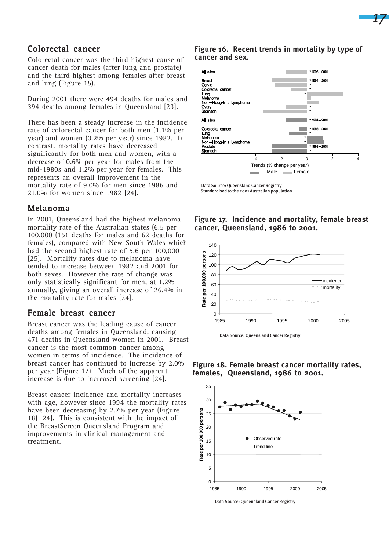

## Colorectal cancer

Colorectal cancer was the third highest cause of cancer death for males (after lung and prostate) and the third highest among females after breast and lung (Figure 15).

During 2001 there were 494 deaths for males and 394 deaths among females in Queensland [23].

There has been a steady increase in the incidence rate of colorectal cancer for both men (1.1% per year) and women (0.2% per year) since 1982. In contrast, mortality rates have decreased significantly for both men and women, with a decrease of 0.6% per year for males from the mid-1980s and 1.2% per year for females. This represents an overall improvement in the mortality rate of 9.0% for men since 1986 and 21.0% for women since 1982 [24].

## Melanoma

In 2001, Queensland had the highest melanoma mortality rate of the Australian states (6.5 per 100,000 (151 deaths for males and 62 deaths for females), compared with New South Wales which had the second highest rate of 5.6 per 100,000 [25]. Mortality rates due to melanoma have tended to increase between 1982 and 2001 for both sexes. However the rate of change was only statistically significant for men, at 1.2% annually, giving an overall increase of 26.4% in the mortality rate for males [24].

# Female breast cancer

Breast cancer was the leading cause of cancer deaths among females in Queensland, causing 471 deaths in Queensland women in 2001. Breast cancer is the most common cancer among women in terms of incidence. The incidence of breast cancer has continued to increase by 2.0% per year (Figure 17). Much of the apparent increase is due to increased screening [24].

Breast cancer incidence and mortality increases with age, however since 1994 the mortality rates have been decreasing by 2.7% per year (Figure 18) [24]. This is consistent with the impact of the BreastScreen Queensland Program and improvements in clinical management and treatment.

#### **Figure 16. Recent trends in mortality by type of cancer and sex.**



Data Source: Queensland Cancer Registry Standardised to the 2001 Australian population

#### **Figure 17. Incidence and mortality, female breast cancer, Queensland, 1986 to 2001.**



Data Source: Queensland Cancer Registry

**Figure 18. Female breast cancer mortality rates, females, Queensland, 1986 to 2001.**



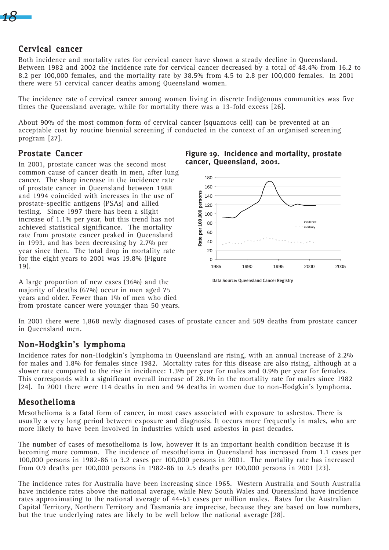*18*

## Cervical cancer

Both incidence and mortality rates for cervical cancer have shown a steady decline in Queensland. Between 1982 and 2002 the incidence rate for cervical cancer decreased by a total of 48.4% from 16.2 to 8.2 per 100,000 females, and the mortality rate by 38.5% from 4.5 to 2.8 per 100,000 females. In 2001 there were 51 cervical cancer deaths among Queensland women.

The incidence rate of cervical cancer among women living in discrete Indigenous communities was five times the Queensland average, while for mortality there was a 13-fold excess [26].

About 90% of the most common form of cervical cancer (squamous cell) can be prevented at an acceptable cost by routine biennial screening if conducted in the context of an organised screening program [27].

## Prostate Cancer

In 2001, prostate cancer was the second most common cause of cancer death in men, after lung cancer. The sharp increase in the incidence rate of prostate cancer in Queensland between 1988 and 1994 coincided with increases in the use of prostate-specific antigens (PSAs) and allied testing. Since 1997 there has been a slight increase of 1.1% per year, but this trend has not achieved statistical significance. The mortality rate from prostate cancer peaked in Queensland in 1993, and has been decreasing by 2.7% per year since then. The total drop in mortality rate for the eight years to 2001 was 19.8% (Figure 19).

A large proportion of new cases (36%) and the majority of deaths (67%) occur in men aged 75 years and older. Fewer than 1% of men who died from prostate cancer were younger than 50 years.



**Figure 19. Incidence and mortality, prostate**

**cancer, Queensland, 2001.**

In 2001 there were 1,868 newly diagnosed cases of prostate cancer and 509 deaths from prostate cancer in Queensland men.

## Non-Hodgkin's lymphoma

Incidence rates for non-Hodgkin's lymphoma in Queensland are rising, with an annual increase of 2.2% for males and 1.8% for females since 1982. Mortality rates for this disease are also rising, although at a slower rate compared to the rise in incidence: 1.3% per year for males and 0.9% per year for females. This corresponds with a significant overall increase of 28.1% in the mortality rate for males since 1982 [24]. In 2001 there were 114 deaths in men and 94 deaths in women due to non-Hodgkin's lymphoma.

## Mesothelioma

Mesothelioma is a fatal form of cancer, in most cases associated with exposure to asbestos. There is usually a very long period between exposure and diagnosis. It occurs more frequently in males, who are more likely to have been involved in industries which used asbestos in past decades.

The number of cases of mesothelioma is low, however it is an important health condition because it is becoming more common. The incidence of mesothelioma in Queensland has increased from 1.1 cases per 100,000 persons in 1982-86 to 3.2 cases per 100,000 persons in 2001. The mortality rate has increased from 0.9 deaths per 100,000 persons in 1982-86 to 2.5 deaths per 100,000 persons in 2001 [23].

The incidence rates for Australia have been increasing since 1965. Western Australia and South Australia have incidence rates above the national average, while New South Wales and Queensland have incidence rates approximating to the national average of 44-63 cases per million males. Rates for the Australian Capital Territory, Northern Territory and Tasmania are imprecise, because they are based on low numbers, but the true underlying rates are likely to be well below the national average [28].

Data Source: Queensland Cancer Registry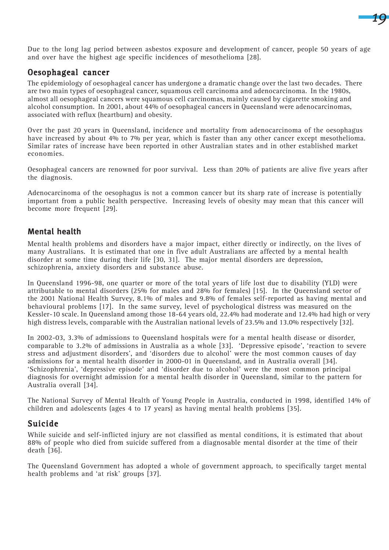

Due to the long lag period between asbestos exposure and development of cancer, people 50 years of age and over have the highest age specific incidences of mesothelioma [28].

## Oesophageal cancer

The epidemiology of oesophageal cancer has undergone a dramatic change over the last two decades. There are two main types of oesophageal cancer, squamous cell carcinoma and adenocarcinoma. In the 1980s, almost all oesophageal cancers were squamous cell carcinomas, mainly caused by cigarette smoking and alcohol consumption. In 2001, about 44% of oesophageal cancers in Queensland were adenocarcinomas, associated with reflux (heartburn) and obesity.

Over the past 20 years in Queensland, incidence and mortality from adenocarcinoma of the oesophagus have increased by about 4% to 7% per year, which is faster than any other cancer except mesothelioma. Similar rates of increase have been reported in other Australian states and in other established market economies.

Oesophageal cancers are renowned for poor survival. Less than 20% of patients are alive five years after the diagnosis.

Adenocarcinoma of the oesophagus is not a common cancer but its sharp rate of increase is potentially important from a public health perspective. Increasing levels of obesity may mean that this cancer will become more frequent [29].

## **Mental health**

Mental health problems and disorders have a major impact, either directly or indirectly, on the lives of many Australians. It is estimated that one in five adult Australians are affected by a mental health disorder at some time during their life [30, 31]. The major mental disorders are depression, schizophrenia, anxiety disorders and substance abuse.

In Queensland 1996-98, one quarter or more of the total years of life lost due to disability (YLD) were attributable to mental disorders (25% for males and 28% for females) [15]. In the Queensland sector of the 2001 National Health Survey, 8.1% of males and 9.8% of females self-reported as having mental and behavioural problems [17]. In the same survey, level of psychological distress was measured on the Kessler-10 scale. In Queensland among those 18-64 years old, 22.4% had moderate and 12.4% had high or very high distress levels, comparable with the Australian national levels of 23.5% and 13.0% respectively [32].

In 2002-03, 3.3% of admissions to Queensland hospitals were for a mental health disease or disorder, comparable to 3.2% of admissions in Australia as a whole [33]. 'Depressive episode', 'reaction to severe stress and adjustment disorders', and 'disorders due to alcohol' were the most common causes of day admissions for a mental health disorder in 2000-01 in Queensland, and in Australia overall [34]. 'Schizophrenia', 'depressive episode' and 'disorder due to alcohol' were the most common principal diagnosis for overnight admission for a mental health disorder in Queensland, similar to the pattern for Australia overall [34].

The National Survey of Mental Health of Young People in Australia, conducted in 1998, identified 14% of children and adolescents (ages 4 to 17 years) as having mental health problems [35].

# Suicide

While suicide and self-inflicted injury are not classified as mental conditions, it is estimated that about 88% of people who died from suicide suffered from a diagnosable mental disorder at the time of their death [36].

The Queensland Government has adopted a whole of government approach, to specifically target mental health problems and 'at risk' groups [37].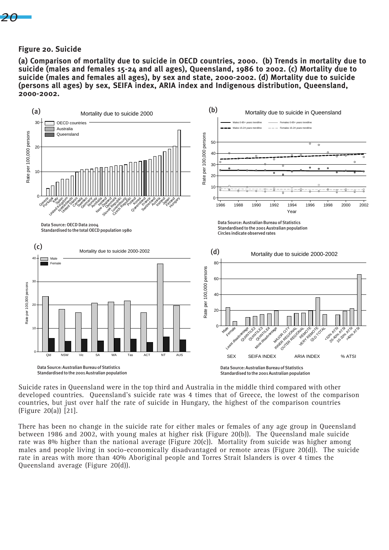*20*

#### **Figure 20. Suicide**

**(a) Comparison of mortality due to suicide in OECD countries, 2000. (b) Trends in mortality due to suicide (males and females 15-24 and all ages), Queensland, 1986 to 2002. (c) Mortality due to suicide (males and females all ages), by sex and state, 2000-2002. (d) Mortality due to suicide (persons all ages) by sex, SEIFA index, ARIA index and Indigenous distribution, Queensland, 2000-2002.**



Suicide rates in Queensland were in the top third and Australia in the middle third compared with other developed countries. Queensland's suicide rate was 4 times that of Greece, the lowest of the comparison countries, but just over half the rate of suicide in Hungary, the highest of the comparison countries (Figure 20(a)) [21].

There has been no change in the suicide rate for either males or females of any age group in Queensland between 1986 and 2002, with young males at higher risk (Figure 20(b)). The Queensland male suicide rate was 8% higher than the national average (Figure 20(c)). Mortality from suicide was higher among males and people living in socio-economically disadvantaged or remote areas (Figure 20(d)). The suicide rate in areas with more than 40% Aboriginal people and Torres Strait Islanders is over 4 times the Queensland average (Figure 20(d)).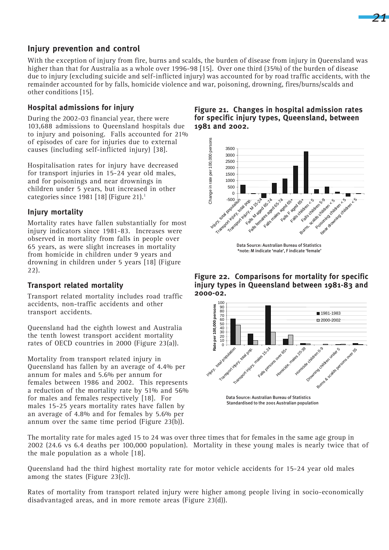

# **Injury prevention and control**

With the exception of injury from fire, burns and scalds, the burden of disease from injury in Queensland was higher than that for Australia as a whole over 1996-98 [15]. Over one third (35%) of the burden of disease due to injury (excluding suicide and self-inflicted injury) was accounted for by road traffic accidents, with the remainder accounted for by falls, homicide violence and war, poisoning, drowning, fires/burns/scalds and other conditions [15].

## **Hospital admissions for injury**

During the 2002-03 financial year, there were 103,688 admissions to Queensland hospitals due to injury and poisoning. Falls accounted for 21% of episodes of care for injuries due to external causes (including self-inflicted injury) [38].

Hospitalisation rates for injury have decreased for transport injuries in 15-24 year old males, and for poisonings and near drownings in children under 5 years, but increased in other categories since 1981 [18] (Figure 21).<sup>1</sup>

## **Injury mortality**

Mortality rates have fallen substantially for most injury indicators since 1981-83. Increases were observed in mortality from falls in people over 65 years, as were slight increases in mortality from homicide in children under 9 years and drowning in children under 5 years [18] (Figure 22).

## **Transport related mortality**

Transport related mortality includes road traffic accidents, non-traffic accidents and other transport accidents.

Queensland had the eighth lowest and Australia the tenth lowest transport accident mortality rates of OECD countries in 2000 (Figure 23(a)).

Mortality from transport related injury in Queensland has fallen by an average of 4.4% per annum for males and 5.6% per annum for females between 1986 and 2002. This represents a reduction of the mortality rate by 51% and 56% for males and females respectively [18]. For males 15-25 years mortality rates have fallen by an average of 4.8% and for females by 5.6% per annum over the same time period (Figure 23(b)).

#### **Figure 21. Changes in hospital admission rates for specific injury types, Queensland, between 1981 and 2002.**



**Figure 22. Comparisons for mortality for specific injury types in Queensland between 1981-83 and 2000-02.**



 Data Source: Australian Bureau of Statistics Standardised to the 2001 Australian population

The mortality rate for males aged 15 to 24 was over three times that for females in the same age group in 2002 (24.6 vs 6.4 deaths per 100,000 population). Mortality in these young males is nearly twice that of the male population as a whole [18].

Queensland had the third highest mortality rate for motor vehicle accidents for 15-24 year old males among the states (Figure 23(c)).

Rates of mortality from transport related injury were higher among people living in socio-economically disadvantaged areas, and in more remote areas (Figure 23(d)).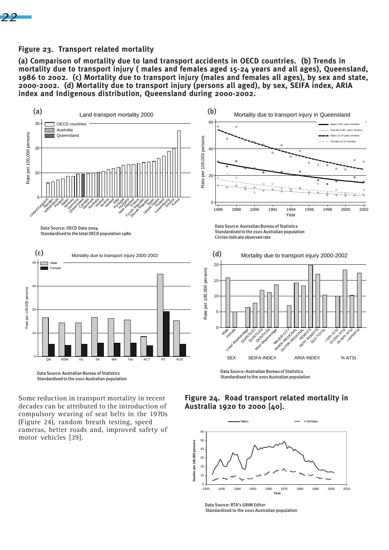

#### **Figure 23. Transport related mortality**

**(a) Comparison of mortality due to land transport accidents in OECD countries. (b) Trends in mortality due to transport injury ( males and females aged 15-24 years and all ages), Queensland, 1986 to 2002. (c) Mortality due to transport injury (males and females all ages), by sex and state, 2000-2002. (d) Mortality due to transport injury (persons all aged), by sex, SEIFA index, ARIA index and Indigenous distribution, Queensland during 2000-2002.**



Standardised to the 2001 Australian population

Some reduction in transport mortality in recent decades can be attributed to the introduction of compulsory wearing of seat belts in the 1970s (Figure 24), random breath testing, speed cameras, better roads and, improved safety of motor vehicles [39].

#### **Figure 24. Road transport related mortality in Australia 1920 to 2000 [40].**

Standardised to the 2001 Australian population



Data Source: RTA's GRIM Editor Standardised to the 2001 Australian population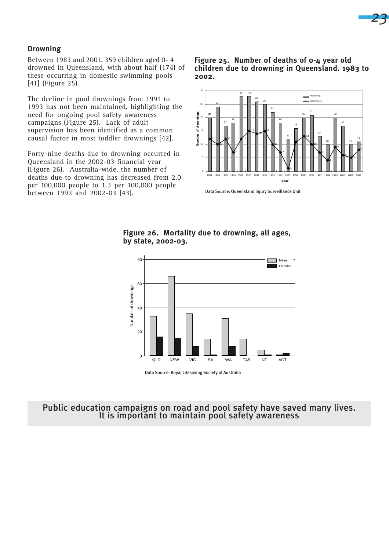### **Drowning**

Between 1983 and 2001, 359 children aged 0- 4 drowned in Queensland, with about half (174) of these occurring in domestic swimming pools [41] (Figure 25).

The decline in pool drownings from 1991 to 1993 has not been maintained, highlighting the need for ongoing pool safety awareness campaigns (Figure 25). Lack of adult supervision has been identified as a common causal factor in most toddler drownings [42].

Forty-nine deaths due to drowning occurred in Queensland in the 2002-03 financial year (Figure 26). Australia-wide, the number of deaths due to drowning has decreased from 2.0 per 100,000 people to 1.3 per 100,000 people between 1992 and 2002-03 [43].

**Figure 25. Number of deaths of 0-4 year old children due to drowning in Queensland. 1983 to 2002.**



Data Source: Queensland Injury Surveillance Unit

#### **Figure 26. Mortality due to drowning, all ages, by state, 2002-03.**



Data Source: Royal Lifesaving Society of Australia

# Public education campaigns on road and pool safety have saved many lives. It is important to maintain pool safety awareness

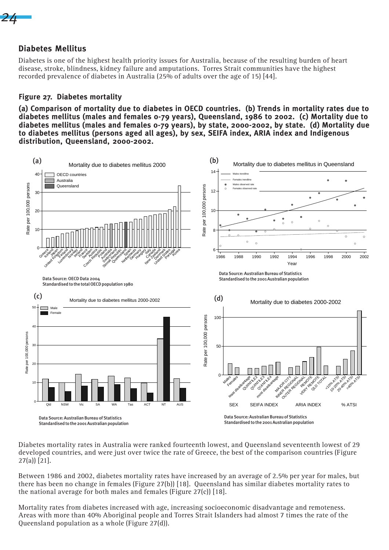*24*

## **Diabetes Mellitus**

Diabetes is one of the highest health priority issues for Australia, because of the resulting burden of heart disease, stroke, blindness, kidney failure and amputations. Torres Strait communities have the highest recorded prevalence of diabetes in Australia (25% of adults over the age of 15) [44].

## **Figure 27. Diabetes mortality**

**(a) Comparison of mortality due to diabetes in OECD countries. (b) Trends in mortality rates due to diabetes mellitus (males and females 0-79 years), Queensland, 1986 to 2002. (c) Mortality due to diabetes mellitus (males and females 0-79 years), by state, 2000-2002, by state. (d) Mortality due to diabetes mellitus (persons aged all ages), by sex, SEIFA index, ARIA index and Indigenous distribution, Queensland, 2000-2002.**



Diabetes mortality rates in Australia were ranked fourteenth lowest, and Queensland seventeenth lowest of 29 developed countries, and were just over twice the rate of Greece, the best of the comparison countries (Figure 27(a)) [21].

Between 1986 and 2002, diabetes mortality rates have increased by an average of 2.5% per year for males, but there has been no change in females (Figure 27(b)) [18]. Queensland has similar diabetes mortality rates to the national average for both males and females (Figure 27(c)) [18].

Mortality rates from diabetes increased with age, increasing socioeconomic disadvantage and remoteness. Areas with more than 40% Aboriginal people and Torres Strait Islanders had almost 7 times the rate of the Queensland population as a whole (Figure 27(d)).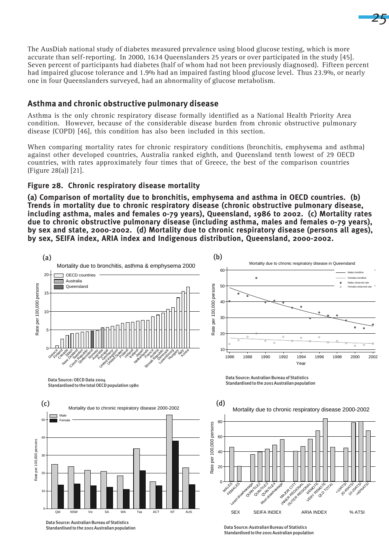The AusDiab national study of diabetes measured prevalence using blood glucose testing, which is more accurate than self-reporting. In 2000, 1634 Queenslanders 25 years or over participated in the study [45]. Seven percent of participants had diabetes (half of whom had not been previously diagnosed). Fifteen percent had impaired glucose tolerance and 1.9% had an impaired fasting blood glucose level. Thus 23.9%, or nearly one in four Queenslanders surveyed, had an abnormality of glucose metabolism.

*25*

## **Asthma and chronic obstructive pulmonary disease**

Asthma is the only chronic respiratory disease formally identified as a National Health Priority Area condition. However, because of the considerable disease burden from chronic obstructive pulmonary disease (COPD) [46], this condition has also been included in this section.

When comparing mortality rates for chronic respiratory conditions (bronchitis, emphysema and asthma) against other developed countries, Australia ranked eighth, and Queensland tenth lowest of 29 OECD countries, with rates approximately four times that of Greece, the best of the comparison countries (Figure 28(a)) [21].

## **Figure 28. Chronic respiratory disease mortality**

**(a) Comparison of mortality due to bronchitis, emphysema and asthma in OECD countries. (b) Trends in mortality due to chronic respiratory disease (chronic obstructive pulmonary disease, including asthma, males and females 0-79 years), Queensland, 1986 to 2002. (c) Mortality rates due to chronic obstructive pulmonary disease (including asthma, males and females 0-79 years), by sex and state, 2000-2002. (d) Mortality due to chronic respiratory disease (persons all ages), by sex, SEIFA index, ARIA index and Indigenous distribution, Queensland, 2000-2002.**



Data Source: Australian Bureau of Statistics Standardised to the 2001 Australian population

Data Source: Australian Bureau of Statistics Standardised to the 2001 Australian population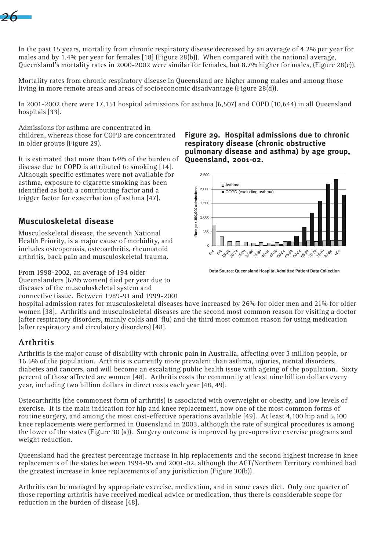

In the past 15 years, mortality from chronic respiratory disease decreased by an average of 4.2% per year for males and by 1.4% per year for females [18] (Figure 28(b)). When compared with the national average, Queensland's mortality rates in 2000-2002 were similar for females, but 8.7% higher for males, (Figure 28(c)).

Mortality rates from chronic respiratory disease in Queensland are higher among males and among those living in more remote areas and areas of socioeconomic disadvantage (Figure 28(d)).

In 2001-2002 there were 17,151 hospital admissions for asthma (6,507) and COPD (10,644) in all Queensland hospitals [33].

Admissions for asthma are concentrated in children, whereas those for COPD are concentrated in older groups (Figure 29).

It is estimated that more than 64% of the burden of disease due to COPD is attributed to smoking [14]. Although specific estimates were not available for asthma, exposure to cigarette smoking has been identified as both a contributing factor and a trigger factor for exacerbation of asthma [47].

## **Musculoskeletal disease**

Musculoskeletal disease, the seventh National Health Priority, is a major cause of morbidity, and includes osteoporosis, osteoarthritis, rheumatoid arthritis, back pain and musculoskeletal trauma.

From 1998-2002, an average of 194 older Queenslanders (67% women) died per year due to diseases of the musculoskeletal system and connective tissue. Between 1989-91 and 1999-2001 **Figure 29. Hospital admissions due to chronic respiratory disease (chronic obstructive pulmonary disease and asthma) by age group, Queensland, 2001-02.**



Data Source: Queensland Hospital Admitted Patient Data Collection

hospital admission rates for musculoskeletal diseases have increased by 26% for older men and 21% for older women [38]. Arthritis and musculoskeletal diseases are the second most common reason for visiting a doctor (after respiratory disorders, mainly colds and 'flu) and the third most common reason for using medication (after respiratory and circulatory disorders) [48].

# Arthritis

Arthritis is the major cause of disability with chronic pain in Australia, affecting over 3 million people, or 16.5% of the population. Arthritis is currently more prevalent than asthma, injuries, mental disorders, diabetes and cancers, and will become an escalating public health issue with ageing of the population. Sixty percent of those affected are women [48]. Arthritis costs the community at least nine billion dollars every year, including two billion dollars in direct costs each year [48, 49].

Osteoarthritis (the commonest form of arthritis) is associated with overweight or obesity, and low levels of exercise. It is the main indication for hip and knee replacement, now one of the most common forms of routine surgery, and among the most cost-effective operations available [49]. At least 4,100 hip and 5,100 knee replacements were performed in Queensland in 2003, although the rate of surgical procedures is among the lower of the states (Figure 30 (a)). Surgery outcome is improved by pre-operative exercise programs and weight reduction.

Queensland had the greatest percentage increase in hip replacements and the second highest increase in knee replacements of the states between 1994-95 and 2001-02, although the ACT/Northern Territory combined had the greatest increase in knee replacements of any jurisdiction (Figure 30(b)).

Arthritis can be managed by appropriate exercise, medication, and in some cases diet. Only one quarter of those reporting arthritis have received medical advice or medication, thus there is considerable scope for reduction in the burden of disease [48].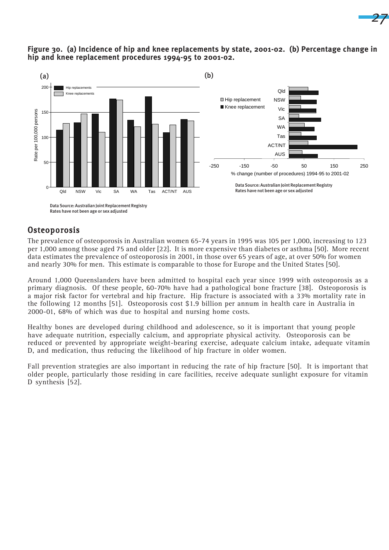

### **Figure 30. (a) Incidence of hip and knee replacements by state, 2001-02. (b) Percentage change in hip and knee replacement procedures 1994-95 to 2001-02.**

*27*

Rates have not been age or sex adjusted

# **Osteoporosis**

The prevalence of osteoporosis in Australian women 65-74 years in 1995 was 105 per 1,000, increasing to 123 per 1,000 among those aged 75 and older [22]. It is more expensive than diabetes or asthma [50]. More recent data estimates the prevalence of osteoporosis in 2001, in those over 65 years of age, at over 50% for women and nearly 30% for men. This estimate is comparable to those for Europe and the United States [50].

Around 1,000 Queenslanders have been admitted to hospital each year since 1999 with osteoporosis as a primary diagnosis. Of these people, 60-70% have had a pathological bone fracture [38]. Osteoporosis is a major risk factor for vertebral and hip fracture. Hip fracture is associated with a 33% mortality rate in the following 12 months [51]. Osteoporosis cost \$1.9 billion per annum in health care in Australia in 2000-01, 68% of which was due to hospital and nursing home costs.

Healthy bones are developed during childhood and adolescence, so it is important that young people have adequate nutrition, especially calcium, and appropriate physical activity. Osteoporosis can be reduced or prevented by appropriate weight-bearing exercise, adequate calcium intake, adequate vitamin D, and medication, thus reducing the likelihood of hip fracture in older women.

Fall prevention strategies are also important in reducing the rate of hip fracture [50]. It is important that older people, particularly those residing in care facilities, receive adequate sunlight exposure for vitamin D synthesis [52].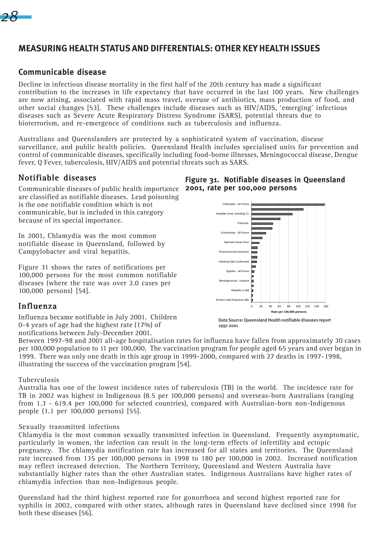

# **MEASURING HEALTH STATUS AND DIFFERENTIALS: OTHER KEY HEALTH ISSUES**

## **Communicable disease**

Decline in infectious disease mortality in the first half of the 20th century has made a significant contribution to the increases in life expectancy that have occurred in the last 100 years. New challenges are now arising, associated with rapid mass travel, overuse of antibiotics, mass production of food, and other social changes [53]. These challenges include diseases such as HIV/AIDS, 'emerging' infectious diseases such as Severe Acute Respiratory Distress Syndrome (SARS), potential threats due to bioterrorism, and re-emergence of conditions such as tuberculosis and influenza.

Australians and Queenslanders are protected by a sophisticated system of vaccination, disease surveillance, and public health policies. Queensland Health includes specialised units for prevention and control of communicable diseases, specifically including food-borne illnesses, Meningococcal disease, Dengue fever, Q Fever, tuberculosis, HIV/AIDS and potential threats such as SARS.

## Notifiable diseases

Communicable diseases of public health importance **2001, rate per 100,000 persons** are classified as notifiable diseases. Lead poisoning is the one notifiable condition which is not communicable, but is included in this category because of its special importance.

In 2001, Chlamydia was the most common notifiable disease in Queensland, followed by Campylobacter and viral hepatitis.

Figure 31 shows the rates of notifications per 100,000 persons for the most common notifiable diseases (where the rate was over 2.0 cases per 100,000 persons) [54].

## Influenza

Influenza became notifiable in July 2001. Children 0-4 years of age had the highest rate (17%) of notifications between July-December 2001.

# **Figure 31. Notifiable diseases in Queensland**



Data Source: Queensland Health notifiable diseases report 1997-2001

Between 1997-98 and 2001 all-age hospitalisation rates for influenza have fallen from approximately 30 cases per 100,000 population to 11 per 100,000. The vaccination program for people aged 65 years and over began in 1999. There was only one death in this age group in 1999-2000, compared with 27 deaths in 1997-1998, illustrating the success of the vaccination program [54].

#### Tuberculosis

Australia has one of the lowest incidence rates of tuberculosis (TB) in the world. The incidence rate for TB in 2002 was highest in Indigenous (8.5 per 100,000 persons) and overseas-born Australians (ranging from 1.3 - 619.4 per 100,000 for selected countries), compared with Australian-born non-Indigenous people (1.1 per 100,000 persons) [55].

#### Sexually transmitted infections

Chlamydia is the most common sexually transmitted infection in Queensland. Frequently asymptomatic, particularly in women, the infection can result in the long-term effects of infertility and ectopic pregnancy. The chlamydia notification rate has increased for all states and territories. The Queensland rate increased from 135 per 100,000 persons in 1998 to 180 per 100,000 in 2002. Increased notification may reflect increased detection. The Northern Territory, Queensland and Western Australia have substantially higher rates than the other Australian states. Indigenous Australians have higher rates of chlamydia infection than non-Indigenous people.

Queensland had the third highest reported rate for gonorrhoea and second highest reported rate for syphilis in 2002, compared with other states, although rates in Queensland have declined since 1998 for both these diseases [56].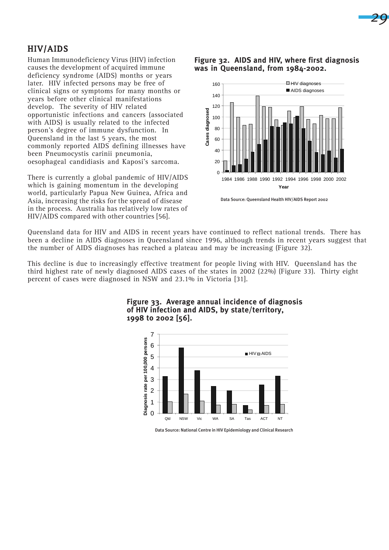

# HIV/AIDS

Human Immunodeficiency Virus (HIV) infection causes the development of acquired immune deficiency syndrome (AIDS) months or years later. HIV infected persons may be free of clinical signs or symptoms for many months or years before other clinical manifestations develop. The severity of HIV related opportunistic infections and cancers (associated with AIDS) is usually related to the infected person's degree of immune dysfunction. In Queensland in the last 5 years, the most commonly reported AIDS defining illnesses have been Pneumocystis carinii pneumonia, oesophageal candidiasis and Kaposi's sarcoma.

There is currently a global pandemic of HIV/AIDS which is gaining momentum in the developing world, particularly Papua New Guinea, Africa and Asia, increasing the risks for the spread of disease in the process. Australia has relatively low rates of HIV/AIDS compared with other countries [56].

#### **Figure 32. AIDS and HIV, where first diagnosis was in Queensland, from 1984-2002.**



Data Source: Queensland Health HIV/AIDS Report 2002

Queensland data for HIV and AIDS in recent years have continued to reflect national trends. There has been a decline in AIDS diagnoses in Queensland since 1996, although trends in recent years suggest that the number of AIDS diagnoses has reached a plateau and may be increasing (Figure 32).

This decline is due to increasingly effective treatment for people living with HIV. Queensland has the third highest rate of newly diagnosed AIDS cases of the states in 2002 (22%) (Figure 33). Thirty eight percent of cases were diagnosed in NSW and 23.1% in Victoria [31].



#### **Figure 33. Average annual incidence of diagnosis of HIV infection and AIDS, by state/territory, 1998 to 2002 [56].**

Data Source: National Centre in HIV Epidemiology and Clinical Research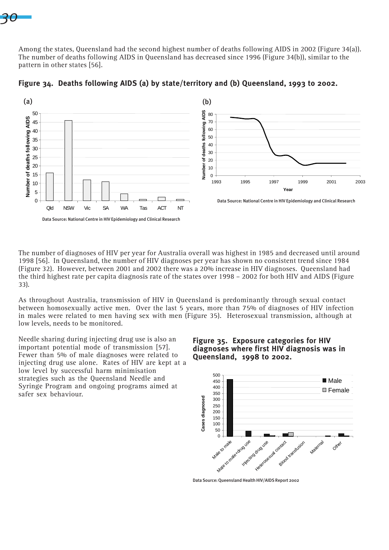# *30*

Among the states, Queensland had the second highest number of deaths following AIDS in 2002 (Figure 34(a)). The number of deaths following AIDS in Queensland has decreased since 1996 (Figure 34(b)), similar to the pattern in other states [56].



**Figure 34. Deaths following AIDS (a) by state/territory and (b) Queensland, 1993 to 2002.**

The number of diagnoses of HIV per year for Australia overall was highest in 1985 and decreased until around 1998 [56]. In Queensland, the number of HIV diagnoses per year has shown no consistent trend since 1984 (Figure 32). However, between 2001 and 2002 there was a 20% increase in HIV diagnoses. Queensland had the third highest rate per capita diagnosis rate of the states over 1998 – 2002 for both HIV and AIDS (Figure 33).

As throughout Australia, transmission of HIV in Queensland is predominantly through sexual contact between homosexually active men. Over the last 5 years, more than 75% of diagnoses of HIV infection in males were related to men having sex with men (Figure 35). Heterosexual transmission, although at low levels, needs to be monitored.

Needle sharing during injecting drug use is also an important potential mode of transmission [57]. Fewer than 5% of male diagnoses were related to injecting drug use alone. Rates of HIV are kept at a low level by successful harm minimisation strategies such as the Queensland Needle and Syringe Program and ongoing programs aimed at safer sex behaviour.

## **Figure 35. Exposure categories for HIV diagnoses where first HIV diagnosis was in Queensland, 1998 to 2002.**



Data Source: Queensland Health HIV/AIDS Report 2002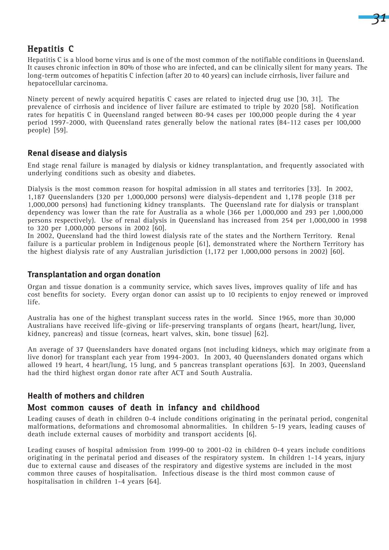

# Hepatitis C

Hepatitis C is a blood borne virus and is one of the most common of the notifiable conditions in Queensland. It causes chronic infection in 80% of those who are infected, and can be clinically silent for many years. The long-term outcomes of hepatitis C infection (after 20 to 40 years) can include cirrhosis, liver failure and hepatocellular carcinoma.

Ninety percent of newly acquired hepatitis C cases are related to injected drug use [30, 31]. The prevalence of cirrhosis and incidence of liver failure are estimated to triple by 2020 [58]. Notification rates for hepatitis C in Queensland ranged between 80-94 cases per 100,000 people during the 4 year period 1997-2000, with Queensland rates generally below the national rates (84-112 cases per 100,000 people) [59].

# **Renal disease and dialysis**

End stage renal failure is managed by dialysis or kidney transplantation, and frequently associated with underlying conditions such as obesity and diabetes.

Dialysis is the most common reason for hospital admission in all states and territories [33]. In 2002, 1,187 Queenslanders (320 per 1,000,000 persons) were dialysis-dependent and 1,178 people (318 per 1,000,000 persons) had functioning kidney transplants. The Queensland rate for dialysis or transplant dependency was lower than the rate for Australia as a whole (366 per 1,000,000 and 293 per 1,000,000 persons respectively). Use of renal dialysis in Queensland has increased from 254 per 1,000,000 in 1998 to 320 per 1,000,000 persons in 2002 [60].

In 2002, Queensland had the third lowest dialysis rate of the states and the Northern Territory. Renal failure is a particular problem in Indigenous people [61], demonstrated where the Northern Territory has the highest dialysis rate of any Australian jurisdiction (1,172 per 1,000,000 persons in 2002) [60].

## **Transplantation and organ donation**

Organ and tissue donation is a community service, which saves lives, improves quality of life and has cost benefits for society. Every organ donor can assist up to 10 recipients to enjoy renewed or improved life.

Australia has one of the highest transplant success rates in the world. Since 1965, more than 30,000 Australians have received life-giving or life-preserving transplants of organs (heart, heart/lung, liver, kidney, pancreas) and tissue (corneas, heart valves, skin, bone tissue) [62].

An average of 37 Queenslanders have donated organs (not including kidneys, which may originate from a live donor) for transplant each year from 1994-2003. In 2003, 40 Queenslanders donated organs which allowed 19 heart, 4 heart/lung, 15 lung, and 5 pancreas transplant operations [63]. In 2003, Queensland had the third highest organ donor rate after ACT and South Australia.

# **Health of mothers and children**

# Most common causes of death in infancy and childhood

Leading causes of death in children 0-4 include conditions originating in the perinatal period, congenital malformations, deformations and chromosomal abnormalities. In children 5-19 years, leading causes of death include external causes of morbidity and transport accidents [6].

Leading causes of hospital admission from 1999-00 to 2001-02 in children 0-4 years include conditions originating in the perinatal period and diseases of the respiratory system. In children 1-14 years, injury due to external cause and diseases of the respiratory and digestive systems are included in the most common three causes of hospitalisation. Infectious disease is the third most common cause of hospitalisation in children 1-4 years [64].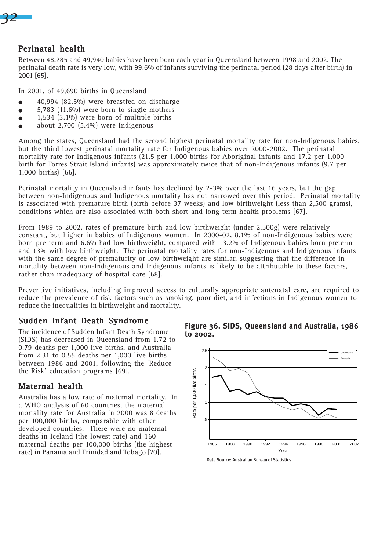

# Perinatal health

Between 48,285 and 49,940 babies have been born each year in Queensland between 1998 and 2002. The perinatal death rate is very low, with 99.6% of infants surviving the perinatal period (28 days after birth) in 2001 [65].

In 2001, of 49,690 births in Queensland

- $\bullet$  40,994 (82.5%) were breastfed on discharge
- $\bullet$  5,783 (11.6%) were born to single mothers
- $\bullet$  1,534 (3.1%) were born of multiple births
- $\bullet$  about 2,700 (5.4%) were Indigenous

Among the states, Queensland had the second highest perinatal mortality rate for non-Indigenous babies, but the third lowest perinatal mortality rate for Indigenous babies over 2000-2002. The perinatal mortality rate for Indigenous infants (21.5 per 1,000 births for Aboriginal infants and 17.2 per 1,000 birth for Torres Strait Island infants) was approximately twice that of non-Indigenous infants (9.7 per 1,000 births) [66].

Perinatal mortality in Queensland infants has declined by 2-3% over the last 16 years, but the gap between non-Indigenous and Indigenous mortality has not narrowed over this period. Perinatal mortality is associated with premature birth (birth before 37 weeks) and low birthweight (less than 2,500 grams), conditions which are also associated with both short and long term health problems [67].

From 1989 to 2002, rates of premature birth and low birthweight (under 2,500g) were relatively constant, but higher in babies of Indigenous women. In 2000-02, 8.1% of non-Indigenous babies were born pre-term and 6.6% had low birthweight, compared with 13.2% of Indigenous babies born preterm and 13% with low birthweight. The perinatal mortality rates for non-Indigenous and Indigenous infants with the same degree of prematurity or low birthweight are similar, suggesting that the difference in mortality between non-Indigenous and Indigenous infants is likely to be attributable to these factors, rather than inadequacy of hospital care [68].

Preventive initiatives, including improved access to culturally appropriate antenatal care, are required to reduce the prevalence of risk factors such as smoking, poor diet, and infections in Indigenous women to reduce the inequalities in birthweight and mortality.

# Sudden Infant Death Syndrome

The incidence of Sudden Infant Death Syndrome (SIDS) has decreased in Queensland from 1.72 to 0.79 deaths per 1,000 live births, and Australia from 2.31 to 0.55 deaths per 1,000 live births between 1986 and 2001, following the 'Reduce the Risk' education programs [69].

# Maternal health

Australia has a low rate of maternal mortality. In a WHO analysis of 60 countries, the maternal mortality rate for Australia in 2000 was 8 deaths per 100,000 births, comparable with other developed countries. There were no maternal deaths in Iceland (the lowest rate) and 160 maternal deaths per 100,000 births (the highest rate) in Panama and Trinidad and Tobago [70].





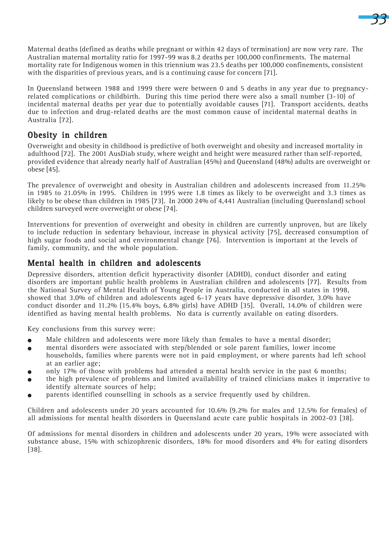Maternal deaths (defined as deaths while pregnant or within 42 days of termination) are now very rare. The Australian maternal mortality ratio for 1997-99 was 8.2 deaths per 100,000 confinements. The maternal mortality rate for Indigenous women in this triennium was 23.5 deaths per 100,000 confinements, consistent with the disparities of previous years, and is a continuing cause for concern [71].

*33*

In Queensland between 1988 and 1999 there were between 0 and 5 deaths in any year due to pregnancyrelated complications or childbirth. During this time period there were also a small number (3-10) of incidental maternal deaths per year due to potentially avoidable causes [71]. Transport accidents, deaths due to infection and drug-related deaths are the most common cause of incidental maternal deaths in Australia [72].

# Obesity in children

Overweight and obesity in childhood is predictive of both overweight and obesity and increased mortality in adulthood [72]. The 2001 AusDiab study, where weight and height were measured rather than self-reported, provided evidence that already nearly half of Australian (45%) and Queensland (48%) adults are overweight or obese [45].

The prevalence of overweight and obesity in Australian children and adolescents increased from 11.25% in 1985 to 21.05% in 1995. Children in 1995 were 1.8 times as likely to be overweight and 3.3 times as likely to be obese than children in 1985 [73]. In 2000 24% of 4,441 Australian (including Queensland) school children surveyed were overweight or obese [74].

Interventions for prevention of overweight and obesity in children are currently unproven, but are likely to include reduction in sedentary behaviour, increase in physical activity [75], decreased consumption of high sugar foods and social and environmental change [76]. Intervention is important at the levels of family, community, and the whole population.

# Mental health in children and adolescents

Depressive disorders, attention deficit hyperactivity disorder (ADHD), conduct disorder and eating disorders are important public health problems in Australian children and adolescents [77]. Results from the National Survey of Mental Health of Young People in Australia, conducted in all states in 1998, showed that 3.0% of children and adolescents aged 6-17 years have depressive disorder, 3.0% have conduct disorder and 11.2% (15.4% boys, 6.8% girls) have ADHD [35]. Overall, 14.0% of children were identified as having mental health problems. No data is currently available on eating disorders.

Key conclusions from this survey were:

- Male children and adolescents were more likely than females to have a mental disorder;
- <sup>O</sup> mental disorders were associated with step/blended or sole parent families, lower income
- households, families where parents were not in paid employment, or where parents had left school at an earlier age;
- only 17% of those with problems had attended a mental health service in the past 6 months;
- <sup>O</sup> the high prevalence of problems and limited availability of trained clinicians makes it imperative to identify alternate sources of help;
- parents identified counselling in schools as a service frequently used by children.

Children and adolescents under 20 years accounted for 10.6% (9.2% for males and 12.5% for females) of all admissions for mental health disorders in Queensland acute care public hospitals in 2002-03 [38].

Of admissions for mental disorders in children and adolescents under 20 years, 19% were associated with substance abuse, 15% with schizophrenic disorders, 18% for mood disorders and 4% for eating disorders [38].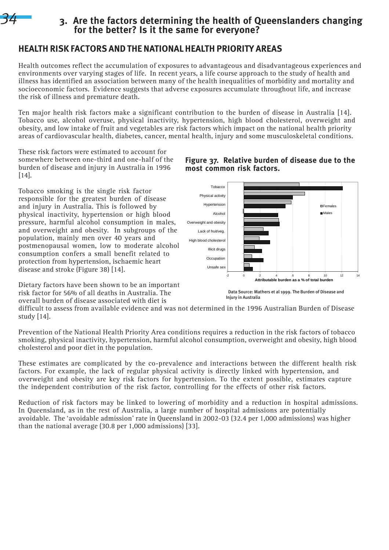

# **3. Are the factors determining the health of Queenslanders changing for the better? Is it the same for everyone?**

# **HEALTH RISK FACTORS AND THE NATIONAL HEALTH PRIORITY AREAS**

Health outcomes reflect the accumulation of exposures to advantageous and disadvantageous experiences and environments over varying stages of life. In recent years, a life course approach to the study of health and illness has identified an association between many of the health inequalities of morbidity and mortality and socioeconomic factors. Evidence suggests that adverse exposures accumulate throughout life, and increase the risk of illness and premature death.

Ten major health risk factors make a significant contribution to the burden of disease in Australia [14]. Tobacco use, alcohol overuse, physical inactivity, hypertension, high blood cholesterol, overweight and obesity, and low intake of fruit and vegetables are risk factors which impact on the national health priority areas of cardiovascular health, diabetes, cancer, mental health, injury and some musculoskeletal conditions.

These risk factors were estimated to account for somewhere between one-third and one-half of the burden of disease and injury in Australia in 1996 [14].

Tobacco smoking is the single risk factor responsible for the greatest burden of disease and injury in Australia. This is followed by physical inactivity, hypertension or high blood pressure, harmful alcohol consumption in males, and overweight and obesity. In subgroups of the population, mainly men over 40 years and postmenopausal women, low to moderate alcohol consumption confers a small benefit related to protection from hypertension, ischaemic heart disease and stroke (Figure 38) [14].

Dietary factors have been shown to be an important risk factor for 56% of all deaths in Australia. The overall burden of disease associated with diet is

# **Figure 37. Relative burden of disease due to the most common risk factors.**



 Data Source: Mathers et al 1999. The Burden of Disease and Injury in Australia

difficult to assess from available evidence and was not determined in the 1996 Australian Burden of Disease study  $[14]$ .

Prevention of the National Health Priority Area conditions requires a reduction in the risk factors of tobacco smoking, physical inactivity, hypertension, harmful alcohol consumption, overweight and obesity, high blood cholesterol and poor diet in the population.

These estimates are complicated by the co-prevalence and interactions between the different health risk factors. For example, the lack of regular physical activity is directly linked with hypertension, and overweight and obesity are key risk factors for hypertension. To the extent possible, estimates capture the independent contribution of the risk factor, controlling for the effects of other risk factors.

Reduction of risk factors may be linked to lowering of morbidity and a reduction in hospital admissions. In Queensland, as in the rest of Australia, a large number of hospital admissions are potentially avoidable. The 'avoidable admission' rate in Queensland in 2002-03 (32.4 per 1,000 admissions) was higher than the national average (30.8 per 1,000 admissions) [33].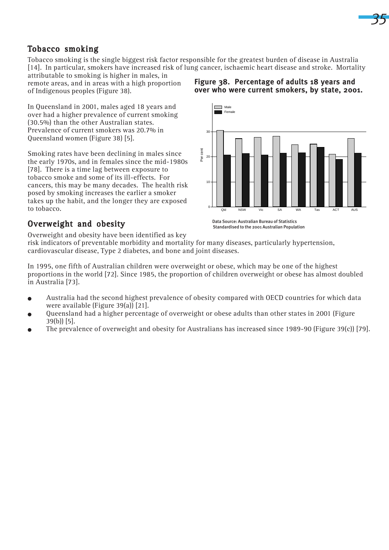

# Tobacco smoking

Tobacco smoking is the single biggest risk factor responsible for the greatest burden of disease in Australia [14]. In particular, smokers have increased risk of lung cancer, ischaemic heart disease and stroke. Mortality

attributable to smoking is higher in males, in remote areas, and in areas with a high proportion of Indigenous peoples (Figure 38).

In Queensland in 2001, males aged 18 years and over had a higher prevalence of current smoking (30.5%) than the other Australian states. Prevalence of current smokers was 20.7% in Queensland women (Figure 38) [5].

Smoking rates have been declining in males since the early 1970s, and in females since the mid-1980s [78]. There is a time lag between exposure to tobacco smoke and some of its ill-effects. For cancers, this may be many decades. The health risk posed by smoking increases the earlier a smoker takes up the habit, and the longer they are exposed to tobacco.

## **Figure 38. Percentage of adults 18 years and over who were current smokers, by state, 2001.**



# Overweight and obesity

 Data Source: Australian Bureau of Statistics Standardised to the 2001 Australian Population

Overweight and obesity have been identified as key

risk indicators of preventable morbidity and mortality for many diseases, particularly hypertension, cardiovascular disease, Type 2 diabetes, and bone and joint diseases.

In 1995, one fifth of Australian children were overweight or obese, which may be one of the highest proportions in the world [72]. Since 1985, the proportion of children overweight or obese has almost doubled in Australia [73].

- <sup>O</sup> Australia had the second highest prevalence of obesity compared with OECD countries for which data were available (Figure 39(a)) [21].
- $\bullet$  Queensland had a higher percentage of overweight or obese adults than other states in 2001 (Figure 39(b)) [5].
- The prevalence of overweight and obesity for Australians has increased since 1989-90 (Figure 39(c)) [79].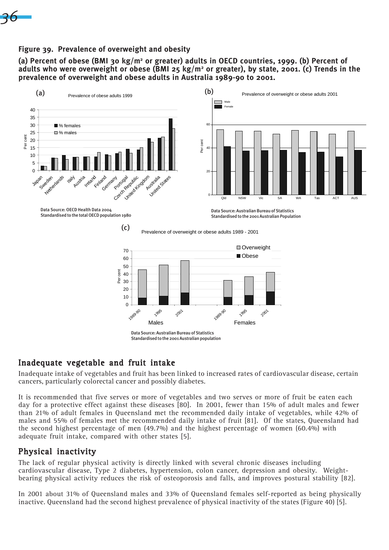

## **Figure 39. Prevalence of overweight and obesity**

**(a) Percent of obese (BMI 30 kg/m2 or greater) adults in OECD countries, 1999. (b) Percent of adults who were overweight or obese (BMI 25 kg/m2 or greater), by state, 2001. (c) Trends in the prevalence of overweight and obese adults in Australia 1989-90 to 2001.**



Data Source: Australian Bureau of Statistics Standardised to the 2001 Australian population

# Inadequate vegetable and fruit intake

Inadequate intake of vegetables and fruit has been linked to increased rates of cardiovascular disease, certain cancers, particularly colorectal cancer and possibly diabetes.

It is recommended that five serves or more of vegetables and two serves or more of fruit be eaten each day for a protective effect against these diseases [80]. In 2001, fewer than 15% of adult males and fewer than 21% of adult females in Queensland met the recommended daily intake of vegetables, while 42% of males and 55% of females met the recommended daily intake of fruit [81]. Of the states, Queensland had the second highest percentage of men (49.7%) and the highest percentage of women (60.4%) with adequate fruit intake, compared with other states [5].

# Physical inactivity

The lack of regular physical activity is directly linked with several chronic diseases including cardiovascular disease, Type 2 diabetes, hypertension, colon cancer, depression and obesity. Weightbearing physical activity reduces the risk of osteoporosis and falls, and improves postural stability [82].

In 2001 about 31% of Queensland males and 33% of Queensland females self-reported as being physically inactive. Queensland had the second highest prevalence of physical inactivity of the states (Figure 40) [5].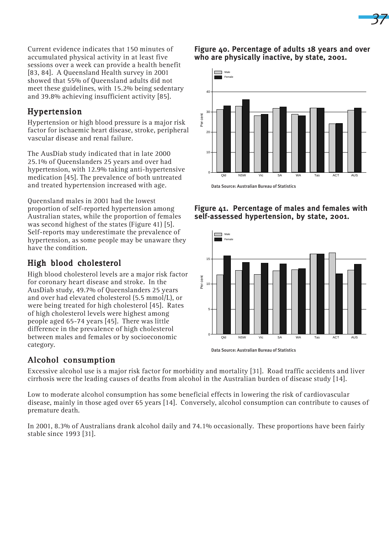Current evidence indicates that 150 minutes of accumulated physical activity in at least five sessions over a week can provide a health benefit [83, 84]. A Queensland Health survey in 2001 showed that 55% of Queensland adults did not meet these guidelines, with 15.2% being sedentary and 39.8% achieving insufficient activity [85].

# Hypertension

Hypertension or high blood pressure is a major risk factor for ischaemic heart disease, stroke, peripheral vascular disease and renal failure.

The AusDiab study indicated that in late 2000 25.1% of Queenslanders 25 years and over had hypertension, with 12.9% taking anti-hypertensive medication [45]. The prevalence of both untreated and treated hypertension increased with age.

Queensland males in 2001 had the lowest proportion of self-reported hypertension among Australian states, while the proportion of females was second highest of the states (Figure 41) [5]. Self-reports may underestimate the prevalence of hypertension, as some people may be unaware they have the condition.

# High blood cholesterol

High blood cholesterol levels are a major risk factor for coronary heart disease and stroke. In the AusDiab study, 49.7% of Queenslanders 25 years and over had elevated cholesterol (5.5 mmol/L), or were being treated for high cholesterol [45]. Rates of high cholesterol levels were highest among people aged 65-74 years [45]. There was little difference in the prevalence of high cholesterol between males and females or by socioeconomic category.

## **Figure 40. Percentage of adults 18 years and over who are physically inactive, by state, 2001.**







# Alcohol consumption

Excessive alcohol use is a major risk factor for morbidity and mortality [31]. Road traffic accidents and liver cirrhosis were the leading causes of deaths from alcohol in the Australian burden of disease study [14].

Low to moderate alcohol consumption has some beneficial effects in lowering the risk of cardiovascular disease, mainly in those aged over 65 years [14]. Conversely, alcohol consumption can contribute to causes of premature death.

In 2001, 8.3% of Australians drank alcohol daily and 74.1% occasionally. These proportions have been fairly stable since 1993 [31].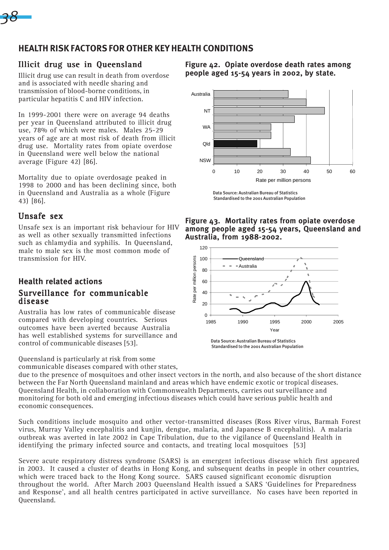

# **HEALTH RISK FACTORS FOR OTHER KEY HEALTH CONDITIONS**

# Illicit drug use in Queensland

Illicit drug use can result in death from overdose and is associated with needle sharing and transmission of blood-borne conditions, in particular hepatitis C and HIV infection.

In 1999-2001 there were on average 94 deaths per year in Queensland attributed to illicit drug use, 78% of which were males. Males 25-29 years of age are at most risk of death from illicit drug use. Mortality rates from opiate overdose in Queensland were well below the national average (Figure 42) [86].

Mortality due to opiate overdosage peaked in 1998 to 2000 and has been declining since, both in Queensland and Australia as a whole (Figure 43) [86].

# Unsafe sex

Unsafe sex is an important risk behaviour for HIV as well as other sexually transmitted infections such as chlamydia and syphilis. In Queensland, male to male sex is the most common mode of transmission for HIV.

## **Health related actions** Surveillance for communicable disease

Australia has low rates of communicable disease compared with developing countries. Serious outcomes have been averted because Australia has well established systems for surveillance and control of communicable diseases [53].

Queensland is particularly at risk from some communicable diseases compared with other states, **Figure 42. Opiate overdose death rates among people aged 15-54 years in 2002, by state.**



Data Source: Australian Bureau of Statistics Standardised to the 2001 Australian Population

**Figure 43. Mortality rates from opiate overdose among people aged 15-54 years, Queensland and Australia, from 1988-2002.**



Standardised to the 2001 Australian Population

due to the presence of mosquitoes and other insect vectors in the north, and also because of the short distance between the Far North Queensland mainland and areas which have endemic exotic or tropical diseases. Queensland Health, in collaboration with Commonwealth Departments, carries out surveillance and monitoring for both old and emerging infectious diseases which could have serious public health and economic consequences.

Such conditions include mosquito and other vector-transmitted diseases (Ross River virus, Barmah Forest virus, Murray Valley encephalitis and kunjin, dengue, malaria, and Japanese B encephalitis). A malaria outbreak was averted in late 2002 in Cape Tribulation, due to the vigilance of Queensland Health in identifying the primary infected source and contacts, and treating local mosquitoes [53]

Severe acute respiratory distress syndrome (SARS) is an emergent infectious disease which first appeared in 2003. It caused a cluster of deaths in Hong Kong, and subsequent deaths in people in other countries, which were traced back to the Hong Kong source. SARS caused significant economic disruption throughout the world. After March 2003 Queensland Health issued a SARS 'Guidelines for Preparedness and Response', and all health centres participated in active surveillance. No cases have been reported in Queensland.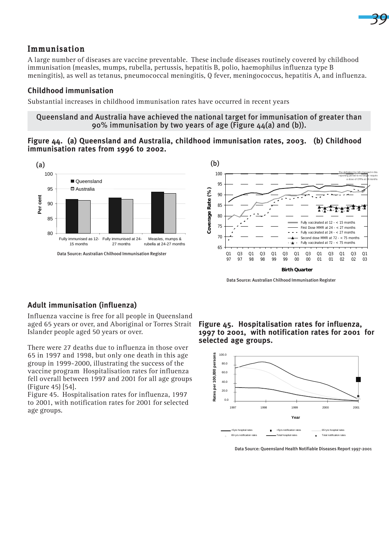

## Immunisation

A large number of diseases are vaccine preventable. These include diseases routinely covered by childhood immunisation (measles, mumps, rubella, pertussis, hepatitis B, polio, haemophilus influenza type B meningitis), as well as tetanus, pneumococcal meningitis, Q fever, meningococcus, hepatitis A, and influenza.

## **Childhood immunisation**

Substantial increases in childhood immunisation rates have occurred in recent years

#### Queensland and Australia have achieved the national target for immunisation of greater than 90% immunisation by two years of age (Figure  $44(a)$  and (b)).

## **Figure 44. (a) Queensland and Australia, childhood immunisation rates, 2003. (b) Childhood immunisation rates from 1996 to 2002.**





Data Source: Australian Chilhood Immunisation Register

## **Adult immunisation (influenza)**

Influenza vaccine is free for all people in Queensland aged 65 years or over, and Aboriginal or Torres Strait Islander people aged 50 years or over.

There were 27 deaths due to influenza in those over 65 in 1997 and 1998, but only one death in this age group in 1999-2000, illustrating the success of the vaccine program Hospitalisation rates for influenza fell overall between 1997 and 2001 for all age groups (Figure 45) [54].

Figure 45. Hospitalisation rates for influenza, 1997 to 2001, with notification rates for 2001 for selected age groups.

**Figure 45. Hospitalisation rates for influenza, 1997 to 2001, with notification rates for 2001 for selected age groups.**



Data Source: Queensland Health Notifiable Diseases Report 1997-2001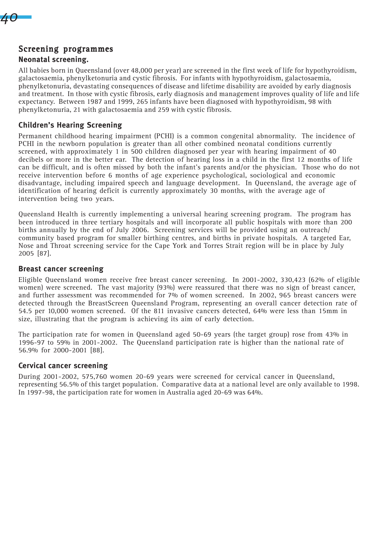

## Screening programmes

#### **Neonatal screening.**

All babies born in Queensland (over 48,000 per year) are screened in the first week of life for hypothyroidism, galactosaemia, phenylketonuria and cystic fibrosis. For infants with hypothyroidism, galactosaemia, phenylketonuria, devastating consequences of disease and lifetime disability are avoided by early diagnosis and treatment. In those with cystic fibrosis, early diagnosis and management improves quality of life and life expectancy. Between 1987 and 1999, 265 infants have been diagnosed with hypothyroidism, 98 with phenylketonuria, 21 with galactosaemia and 259 with cystic fibrosis.

## **Children's Hearing Screening**

Permanent childhood hearing impairment (PCHI) is a common congenital abnormality. The incidence of PCHI in the newborn population is greater than all other combined neonatal conditions currently screened, with approximately 1 in 500 children diagnosed per year with hearing impairment of 40 decibels or more in the better ear. The detection of hearing loss in a child in the first 12 months of life can be difficult, and is often missed by both the infant's parents and/or the physician. Those who do not receive intervention before 6 months of age experience psychological, sociological and economic disadvantage, including impaired speech and language development. In Queensland, the average age of identification of hearing deficit is currently approximately 30 months, with the average age of intervention being two years.

Queensland Health is currently implementing a universal hearing screening program. The program has been introduced in three tertiary hospitals and will incorporate all public hospitals with more than 200 births annually by the end of July 2006. Screening services will be provided using an outreach/ community based program for smaller birthing centres, and births in private hospitals. A targeted Ear, Nose and Throat screening service for the Cape York and Torres Strait region will be in place by July 2005 [87].

### **Breast cancer screening**

Eligible Queensland women receive free breast cancer screening. In 2001-2002, 330,423 (62% of eligible women) were screened. The vast majority (93%) were reassured that there was no sign of breast cancer, and further assessment was recommended for 7% of women screened. In 2002, 965 breast cancers were detected through the BreastScreen Queensland Program, representing an overall cancer detection rate of 54.5 per 10,000 women screened. Of the 811 invasive cancers detected, 64% were less than 15mm in size, illustrating that the program is achieving its aim of early detection.

The participation rate for women in Queensland aged 50-69 years (the target group) rose from 43% in 1996-97 to 59% in 2001-2002. The Queensland participation rate is higher than the national rate of 56.9% for 2000-2001 [88].

## **Cervical cancer screening**

During 2001-2002, 575,760 women 20-69 years were screened for cervical cancer in Queensland, representing 56.5% of this target population. Comparative data at a national level are only available to 1998. In 1997-98, the participation rate for women in Australia aged 20-69 was 64%.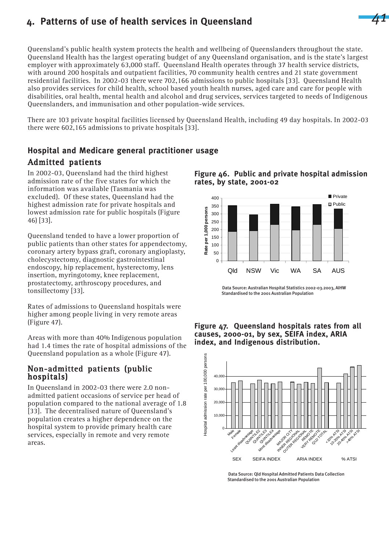# **4. Patterns of use of health services in Queensland**

Queensland's public health system protects the health and wellbeing of Queenslanders throughout the state. Queensland Health has the largest operating budget of any Queensland organisation, and is the state's largest employer with approximately 63,000 staff. Queensland Health operates through 37 health service districts, with around 200 hospitals and outpatient facilities, 70 community health centres and 21 state government residential facilities. In 2002-03 there were 702,166 admissions to public hospitals [33]. Queensland Health also provides services for child health, school based youth health nurses, aged care and care for people with disabilities, oral health, mental health and alcohol and drug services, services targeted to needs of Indigenous Queenslanders, and immunisation and other population-wide services.

There are 103 private hospital facilities licensed by Queensland Health, including 49 day hospitals. In 2002-03 there were 602,165 admissions to private hospitals [33].

# **Hospital and Medicare general practitioner usage**

# Admitted patients

In 2002-03, Queensland had the third highest admission rate of the five states for which the information was available (Tasmania was excluded). Of these states, Queensland had the highest admission rate for private hospitals and lowest admission rate for public hospitals (Figure 46) [33].

Queensland tended to have a lower proportion of public patients than other states for appendectomy, coronary artery bypass graft, coronary angioplasty, cholecystectomy, diagnostic gastrointestinal endoscopy, hip replacement, hysterectomy, lens insertion, myringotomy, knee replacement, prostatectomy, arthroscopy procedures, and tonsillectomy [33].

Rates of admissions to Queensland hospitals were higher among people living in very remote areas (Figure 47).

Areas with more than 40% Indigenous population had 1.4 times the rate of hospital admissions of the Queensland population as a whole (Figure 47).

## Non-admitted patients (public hospitals) hospitals)

In Queensland in 2002-03 there were 2.0 nonadmitted patient occasions of service per head of population compared to the national average of 1.8 [33]. The decentralised nature of Queensland's population creates a higher dependence on the hospital system to provide primary health care services, especially in remote and very remote areas.



*41*



 Data Source: Australian Hospital Statistics 2002-03.2003, AIHW Standardised to the 2001 Australian Population





 Data Source: Qld Hospital Admitted Patients Data Collection Standardised to the 2001 Australian Population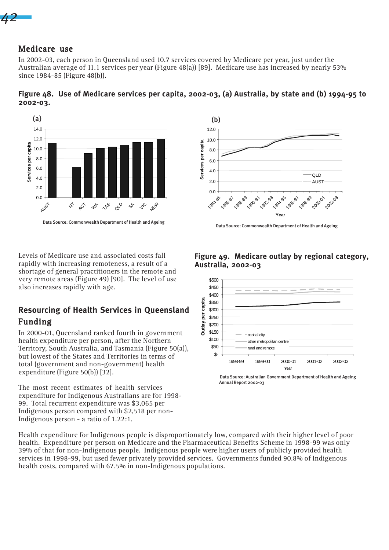*42*

## Medicare use

**2002-03.**

In 2002-03, each person in Queensland used 10.7 services covered by Medicare per year, just under the Australian average of 11.1 services per year (Figure 48(a)) [89]. Medicare use has increased by nearly 53% since 1984-85 (Figure 48(b)).

**Figure 48. Use of Medicare services per capita, 2002-03, (a) Australia, by state and (b) 1994-95 to**



Levels of Medicare use and associated costs fall rapidly with increasing remoteness, a result of a shortage of general practitioners in the remote and very remote areas (Figure 49) [90]. The level of use

also increases rapidly with age.

# **Resourcing of Health Services in Queensland** Funding

In 2000-01, Queensland ranked fourth in government health expenditure per person, after the Northern Territory, South Australia, and Tasmania (Figure 50(a)), but lowest of the States and Territories in terms of total (government and non-government) health expenditure (Figure 50(b)) [32].

The most recent estimates of health services expenditure for Indigenous Australians are for 1998- 99. Total recurrent expenditure was \$3,065 per Indigenous person compared with \$2,518 per non-Indigenous person - a ratio of 1.22:1.

 $12.0$ 10.0 Services per capita **Services per capita** 8.0 6.0 4.0  $\Omega$ 2.0 AUST  $0.0$ 1984.85 1986-87 1990-91 20001  $89$ 199293 1994.95  $\mathcal{S}$ 2022 1996

**Year**



## **Figure 49. Medicare outlay by regional category, Australia, 2002-03**

 Data Source: Australian Government Department of Health and Ageing Annual Report 2002-03

Health expenditure for Indigenous people is disproportionately low, compared with their higher level of poor health. Expenditure per person on Medicare and the Pharmaceutical Benefits Scheme in 1998-99 was only 39% of that for non-Indigenous people. Indigenous people were higher users of publicly provided health services in 1998-99, but used fewer privately provided services. Governments funded 90.8% of Indigenous health costs, compared with 67.5% in non-Indigenous populations.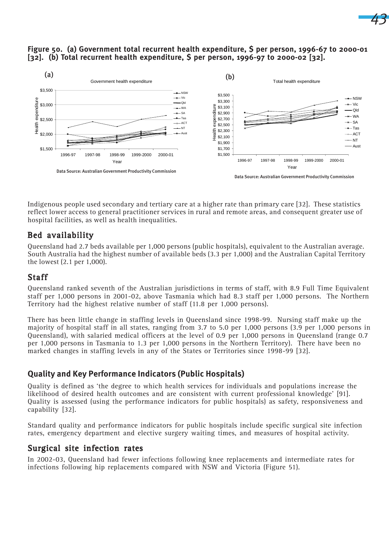## **Figure 50. (a) Government total recurrent health expenditure, \$ per person, 1996-67 to 2000-01 [32]. (b) Total recurrent health expenditure, \$ per person, 1996-97 to 2000-02 [32].**

*43*



Indigenous people used secondary and tertiary care at a higher rate than primary care [32]. These statistics reflect lower access to general practitioner services in rural and remote areas, and consequent greater use of hospital facilities, as well as health inequalities.

# Bed availability

Queensland had 2.7 beds available per 1,000 persons (public hospitals), equivalent to the Australian average. South Australia had the highest number of available beds (3.3 per 1,000) and the Australian Capital Territory the lowest (2.1 per 1,000).

## Staff

Queensland ranked seventh of the Australian jurisdictions in terms of staff, with 8.9 Full Time Equivalent staff per 1,000 persons in 2001-02, above Tasmania which had 8.3 staff per 1,000 persons. The Northern Territory had the highest relative number of staff (11.8 per 1,000 persons).

There has been little change in staffing levels in Queensland since 1998-99. Nursing staff make up the majority of hospital staff in all states, ranging from 3.7 to 5.0 per 1,000 persons (3.9 per 1,000 persons in Queensland), with salaried medical officers at the level of 0.9 per 1,000 persons in Queensland (range 0.7 per 1,000 persons in Tasmania to 1.3 per 1,000 persons in the Northern Territory). There have been no marked changes in staffing levels in any of the States or Territories since 1998-99 [32].

## **Quality and Key Performance Indicators (Public Hospitals)**

Quality is defined as 'the degree to which health services for individuals and populations increase the likelihood of desired health outcomes and are consistent with current professional knowledge' [91]. Quality is assessed (using the performance indicators for public hospitals) as safety, responsiveness and capability [32].

Standard quality and performance indicators for public hospitals include specific surgical site infection rates, emergency department and elective surgery waiting times, and measures of hospital activity.

## Surgical site infection rates

In 2002-03, Queensland had fewer infections following knee replacements and intermediate rates for infections following hip replacements compared with NSW and Victoria (Figure 51).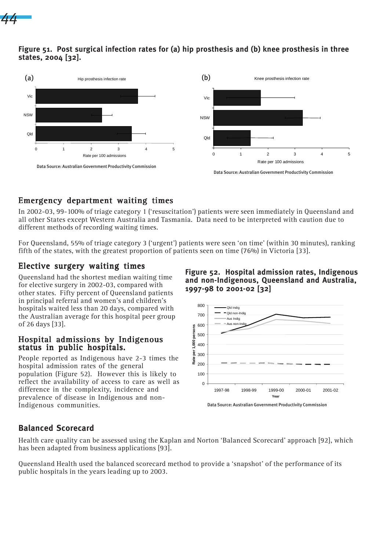

## **Figure 51. Post surgical infection rates for (a) hip prosthesis and (b) knee prosthesis in three states, 2004 [32].**



# Emergency department waiting times Emergency department waiting times

In 2002-03, 99-100% of triage category 1 ('resuscitation') patients were seen immediately in Queensland and all other States except Western Australia and Tasmania. Data need to be interpreted with caution due to different methods of recording waiting times.

For Queensland, 55% of triage category 3 ('urgent') patients were seen 'on time' (within 30 minutes), ranking fifth of the states, with the greatest proportion of patients seen on time (76%) in Victoria [33].

# Elective surgery waiting times

Queensland had the shortest median waiting time for elective surgery in 2002-03, compared with other states. Fifty percent of Queensland patients in principal referral and women's and children's hospitals waited less than 20 days, compared with the Australian average for this hospital peer group of 26 days [33].

## Hospital admissions by Indigenous status in public hospitals.

People reported as Indigenous have 2-3 times the hospital admission rates of the general population (Figure 52). However this is likely to reflect the availability of access to care as well as difference in the complexity, incidence and prevalence of disease in Indigenous and non-Indigenous communities.

**Figure 52. Hospital admission rates, Indigenous and non-Indigenous, Queensland and Australia, 1997-98 to 2001-02 [32]**



# **Balanced Scorecard**

Health care quality can be assessed using the Kaplan and Norton 'Balanced Scorecard' approach [92], which has been adapted from business applications [93].

Queensland Health used the balanced scorecard method to provide a 'snapshot' of the performance of its public hospitals in the years leading up to 2003.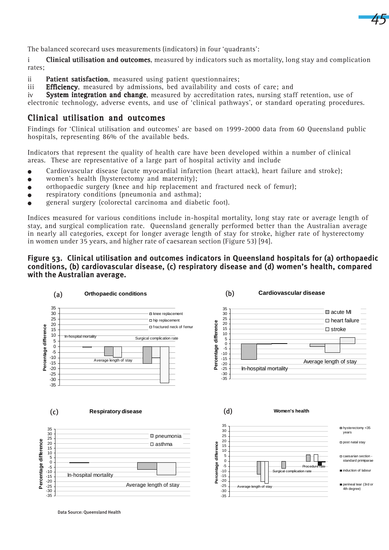

The balanced scorecard uses measurements (indicators) in four 'quadrants':

i Clinical utilisation and outcomes, measured by indicators such as mortality, long stay and complication rates;

ii Patient satisfaction, measured using patient questionnaires;

iii **Efficiency**, measured by admissions, bed availability and costs of care; and

iv System integration and change, measured by accreditation rates, nursing staff retention, use of

electronic technology, adverse events, and use of 'clinical pathways', or standard operating procedures.

## Clinical utilisation and outcomes

Findings for 'Clinical utilisation and outcomes' are based on 1999-2000 data from 60 Queensland public hospitals, representing 86% of the available beds.

Indicators that represent the quality of health care have been developed within a number of clinical areas. These are representative of a large part of hospital activity and include

- <sup>O</sup> Cardiovascular disease (acute myocardial infarction (heart attack), heart failure and stroke);
- <sup>O</sup> women's health (hysterectomy and maternity);
- $\bullet$  orthopaedic surgery (knee and hip replacement and fractured neck of femur);
- $\bullet$  respiratory conditions (pneumonia and asthma);
- <sup>O</sup> general surgery (colorectal carcinoma and diabetic foot).

Indices measured for various conditions include in-hospital mortality, long stay rate or average length of stay, and surgical complication rate. Queensland generally performed better than the Australian average in nearly all categories, except for longer average length of stay for stroke, higher rate of hysterectomy in women under 35 years, and higher rate of caesarean section (Figure 53) [94].

#### **Figure 53. Clinical utilisation and outcomes indicators in Queensland hospitals for (a) orthopaedic conditions, (b) cardiovascular disease, (c) respiratory disease and (d) women's health, compared with the Australian average.**



Data Source: Queensland Health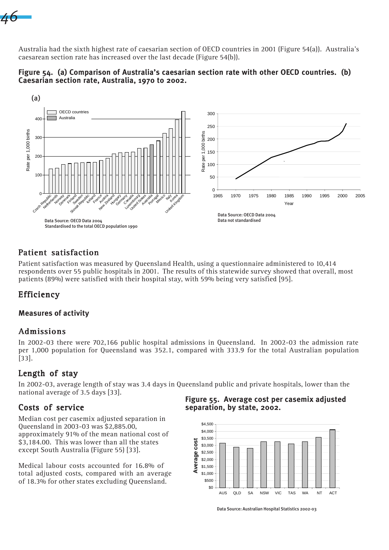

Australia had the sixth highest rate of caesarian section of OECD countries in 2001 (Figure 54(a)). Australia's caesarean section rate has increased over the last decade (Figure 54(b)).





# Patient satisfaction

Patient satisfaction was measured by Queensland Health, using a questionnaire administered to 10,414 respondents over 55 public hospitals in 2001. The results of this statewide survey showed that overall, most patients (89%) were satisfied with their hospital stay, with 59% being very satisfied [95].

# Efficiency

## **Measures of activity**

# Admissions

In 2002-03 there were 702,166 public hospital admissions in Queensland. In 2002-03 the admission rate per 1,000 population for Queensland was 352.1, compared with 333.9 for the total Australian population [33].

# Length of stay

In 2002-03, average length of stay was 3.4 days in Queensland public and private hospitals, lower than the national average of 3.5 days [33].

# Costs of service

Median cost per casemix adjusted separation in Queensland in 2003-03 was \$2,885.00, approximately 91% of the mean national cost of \$3,184.00. This was lower than all the states except South Australia (Figure 55) [33].

Medical labour costs accounted for 16.8% of total adjusted costs, compared with an average of 18.3% for other states excluding Queensland.

**Figure 55. Average cost per casemix adjusted separation, by state, 2002.**



Data Source: Australian Hospital Statistics 2002-03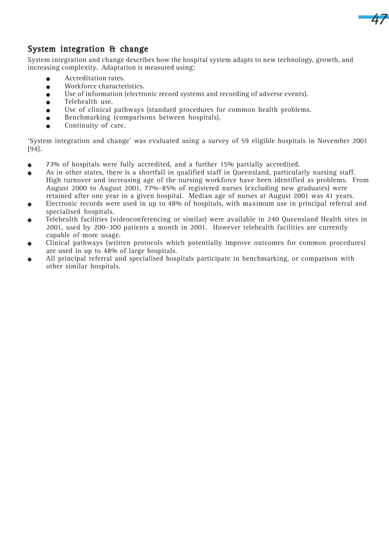

# System integration & change

System integration and change describes how the hospital system adapts to new technology, growth, and increasing complexity. Adaptation is measured using:

- **•** Accreditation rates.
- **•** Workforce characteristics.
- <sup>O</sup> Use of information (electronic record systems and recording of adverse events).
- Telehealth use.
- <sup>O</sup> Use of clinical pathways (standard procedures for common health problems.
- <sup>O</sup> Benchmarking (comparisons between hospitals).
- **•** Continuity of care.

'System integration and change' was evaluated using a survey of 59 eligible hospitals in November 2001 [94].

- <sup>O</sup> 73% of hospitals were fully accredited, and a further 15% partially accredited.
- $\bullet$  As in other states, there is a shortfall in qualified staff in Queensland, particularly nursing staff. High turnover and increasing age of the nursing workforce have been identified as problems. From August 2000 to August 2001, 77%–85% of registered nurses (excluding new graduates) were retained after one year in a given hospital. Median age of nurses at August 2001 was 41 years.
- $\bullet$  Electronic records were used in up to 48% of hospitals, with maximum use in principal referral and specialised hospitals.
- Telehealth facilities (videoconferencing or similar) were available in 240 Queensland Health sites in 2001, used by 200–300 patients a month in 2001. However telehealth facilities are currently capable of more usage.
- Clinical pathways (written protocols which potentially improve outcomes for common procedures) are used in up to 48% of large hospitals.
- All principal referral and specialised hospitals participate in benchmarking, or comparison with other similar hospitals.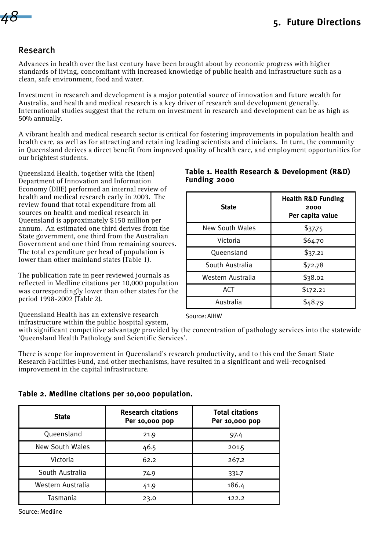# *48*

# Research

Advances in health over the last century have been brought about by economic progress with higher standards of living, concomitant with increased knowledge of public health and infrastructure such as a clean, safe environment, food and water.

Investment in research and development is a major potential source of innovation and future wealth for Australia, and health and medical research is a key driver of research and development generally. International studies suggest that the return on investment in research and development can be as high as 50% annually.

A vibrant health and medical research sector is critical for fostering improvements in population health and health care, as well as for attracting and retaining leading scientists and clinicians. In turn, the community in Queensland derives a direct benefit from improved quality of health care, and employment opportunities for our brightest students.

Queensland Health, together with the (then) Department of Innovation and Information Economy (DIIE) performed an internal review of health and medical research early in 2003. The review found that total expenditure from all sources on health and medical research in Queensland is approximately \$150 million per annum. An estimated one third derives from the State government, one third from the Australian Government and one third from remaining sources. The total expenditure per head of population is lower than other mainland states (Table 1).

The publication rate in peer reviewed journals as reflected in Medline citations per 10,000 population was correspondingly lower than other states for the period 1998-2002 (Table 2).

Queensland Health has an extensive research infrastructure within the public hospital system,

## **Table 1. Health Research & Development (R&D) Funding 2000**

| <b>State</b>      | <b>Health R&amp;D Funding</b><br>2000<br>Per capita value |
|-------------------|-----------------------------------------------------------|
| New South Wales   | \$37.75                                                   |
| Victoria          | \$64.70                                                   |
| Queensland        | \$37.21                                                   |
| South Australia   | \$72.78                                                   |
| Western Australia | \$38.02                                                   |
| ACT               | \$172.21                                                  |
| Australia         | \$48.79                                                   |

Source: AIHW

with significant competitive advantage provided by the concentration of pathology services into the statewide 'Queensland Health Pathology and Scientific Services'.

There is scope for improvement in Queensland's research productivity, and to this end the Smart State Research Facilities Fund, and other mechanisms, have resulted in a significant and well-recognised improvement in the capital infrastructure.

| Table 2. Medline citations per 10,000 population. |  |  |
|---------------------------------------------------|--|--|
|---------------------------------------------------|--|--|

| <b>State</b>           | <b>Research citations</b><br>Per 10,000 pop | <b>Total citations</b><br>Per 10,000 pop |
|------------------------|---------------------------------------------|------------------------------------------|
| Queensland             | 21.9                                        | 97.4                                     |
| <b>New South Wales</b> | 46.5                                        | 201.5                                    |
| Victoria               | 62.2                                        | 267.2                                    |
| South Australia        | 74.9                                        | 331.7                                    |
| Western Australia      | 41.9                                        | 186.4                                    |
| Tasmania               | 23.0                                        | 122.2                                    |

Source: Medline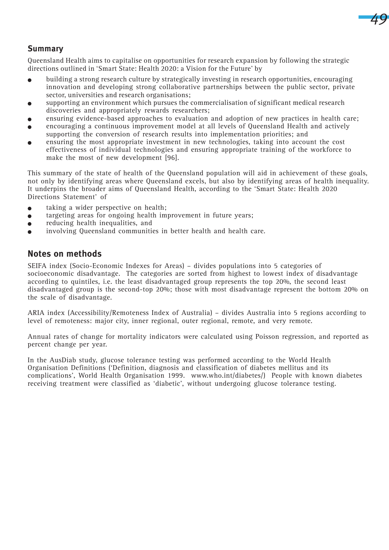

# **Summary**

Queensland Health aims to capitalise on opportunities for research expansion by following the strategic directions outlined in 'Smart State: Health 2020: a Vision for the Future' by

- <sup>O</sup> building a strong research culture by strategically investing in research opportunities, encouraging innovation and developing strong collaborative partnerships between the public sector, private sector, universities and research organisations;
- <sup>O</sup> supporting an environment which pursues the commercialisation of significant medical research discoveries and appropriately rewards researchers;
- ensuring evidence-based approaches to evaluation and adoption of new practices in health care;
- encouraging a continuous improvement model at all levels of Queensland Health and actively supporting the conversion of research results into implementation priorities; and
- <sup>O</sup> ensuring the most appropriate investment in new technologies, taking into account the cost effectiveness of individual technologies and ensuring appropriate training of the workforce to make the most of new development [96].

This summary of the state of health of the Queensland population will aid in achievement of these goals, not only by identifying areas where Queensland excels, but also by identifying areas of health inequality. It underpins the broader aims of Queensland Health, according to the 'Smart State: Health 2020 Directions Statement' of

- $\bullet$  taking a wider perspective on health;
- $\bullet$  targeting areas for ongoing health improvement in future years;
- $\bullet$  reducing health inequalities, and
- $\bullet$  involving Queensland communities in better health and health care.

## **Notes on methods**

SEIFA index (Socio-Economic Indexes for Areas) – divides populations into 5 categories of socioeconomic disadvantage. The categories are sorted from highest to lowest index of disadvantage according to quintiles, i.e. the least disadvantaged group represents the top 20%, the second least disadvantaged group is the second-top 20%; those with most disadvantage represent the bottom 20% on the scale of disadvantage.

ARIA index (Accessibility/Remoteness Index of Australia) – divides Australia into 5 regions according to level of remoteness: major city, inner regional, outer regional, remote, and very remote.

Annual rates of change for mortality indicators were calculated using Poisson regression, and reported as percent change per year.

In the AusDiab study, glucose tolerance testing was performed according to the World Health Organisation Definitions ('Definition, diagnosis and classification of diabetes mellitus and its complications', World Health Organisation 1999. www.who.int/diabetes/) People with known diabetes receiving treatment were classified as 'diabetic', without undergoing glucose tolerance testing.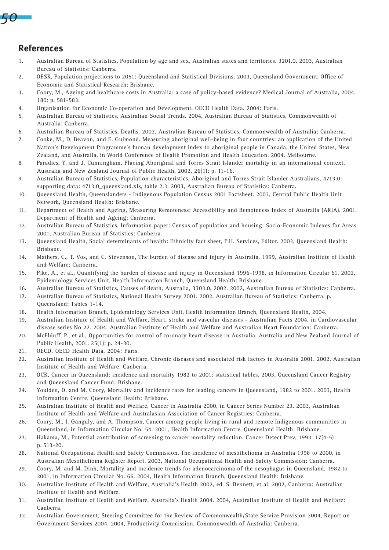

# **References**

- 1. Australian Bureau of Statistics, Population by age and sex, Australian states and territories. 3201.0. 2003, Australian Bureau of Statistics: Canberra.
- 2. OESR, Population projections to 2051: Queensland and Statistical Divisions. 2003, Queensland Government, Office of Economic and Statistical Research: Brisbane.
- 3. Coory, M., Ageing and healthcare costs in Australia: a case of policy-based evidence? Medical Journal of Australia, 2004. 180: p. 581-583.
- 4. Organisation for Economic Co-operation and Development, OECD Health Data. 2004: Paris.
- 5. Australian Bureau of Statistics, Australian Social Trends. 2004, Australian Bureau of Statistics, Commonwealth of Australia: Canberra.
- 6. Australian Bureau of Statistics, Deaths. 2002, Australian Bureau of Statistics, Commonwealth of Australia: Canberra.
- 7. Cooke, M., D. Beavon, and E. Guimond. Measuring aboriginal well-being in four countries: an application of the United Nation's Development Programme's human development index to aboriginal people in Canada, the United States, New Zealand, and Australia. in World Conference of Health Promotion and Health Education. 2004. Melbourne.
- 8. Paradies, Y. and J. Cunningham, Placing Aboriginal and Torres Strait Islander mortality in an international context. Australia and New Zealand Journal of Public Health, 2002. 26(1): p. 11-16.
- 9. Australian Bureau of Statistics, Population characteristics, Aboriginal and Torres Strait Islander Australians, 4713.0: supporting data: 4713.0\_queensland.xls, table 2.3. 2003, Australian Bureau of Statistics: Canberra.
- 10. Queensland Health, Queenslanders Indigenous Population Census 2001 Factsheet. 2003, Central Public Health Unit Network, Queensland Health: Brisbane.
- 11. Department of Health and Ageing, Measuring Remoteness: Accessibility and Remoteness Index of Australia (ARIA). 2001, Department of Health and Ageing: Canberra.
- 12. Australian Bureau of Statistics, Information paper: Census of population and housing: Socio-Economic Indexes for Areas. 2001, Australian Bureau of Statistics: Canberra.
- 13. Queensland Health, Social determinants of health: Ethnicity fact sheet, P.H. Services, Editor. 2003, Queensland Health: Brisbane.
- 14. Mathers, C., T. Vos, and C. Stevenson, The burden of disease and injury in Australia. 1999, Australian Institute of Health and Welfare: Canberra.
- 15. Pike, A., et al., Quantifying the burden of disease and injury in Queensland 1996-1998, in Information Circular 61. 2002, Epidemiology Services Unit, Health Information Branch, Queensland Health: Brisbane.
- 16. Australian Bureau of Statistics, Causes of death, Australia, 3303.0, 2002. 2002, Australian Bureau of Statistics: Canberra.
- 17. Australian Bureau of Statistics, National Health Survey 2001. 2002, Australian Bureau of Statistics: Canberra. p. Queensland: Tables 1-14.
- 18. Health Information Branch, Epidemiology Services Unit, Health Information Branch, Queensland Health, 2004.
- 19. Australian Institute of Health and Welfare, Heart, stroke and vascular diseases Australian Facts 2004, in Cardiovascular disease series No 22. 2004, Australian Institute of Health and Welfare and Australian Heart Foundation: Canberra.
- 20. McElduff, P., et al., Opportunities for control of coronary heart disease in Australia. Australia and New Zealand Journal of Public Health, 2001. 25(1): p. 24-30.
- 21. OECD, OECD Health Data. 2004: Paris.
- 22. Australian Institute of Health and Welfare, Chronic diseases and associated risk factors in Australia 2001. 2002, Australian Institute of Health and Welfare: Canberra.
- 23. QCR, Cancer in Queensland: incidence and mortality 1982 to 2001: statistical tables. 2003, Queensland Cancer Registry and Queensland Cancer Fund: Brisbane.
- 24. Youlden, D. and M. Coory, Mortality and incidence rates for leading cancers in Queensland, 1982 to 2001. 2003, Health Information Centre, Queensland Health: Brisbane.
- 25. Australian Institute of Health and Welfare, Cancer in Australia 2000, in Cancer Series Number 23. 2003, Australian Institute of Health and Welfare and Australasian Association of Cancer Registries: Canberra.
- 26. Coory, M., I. Ganguly, and A. Thompson, Cancer among people living in rural and remote Indigenous communities in Queensland, in Information Circular No. 54. 2001, Health Information Centre, Queensland Health: Brisbane.
- 27. Hakama, M., Potential contribution of screening to cancer mortality reduction. Cancer Detect Prev, 1993. 17(4-5): p. 513-20.
- 28. National Occupational Health and Safety Commission, The incidence of mesothelioma in Australia 1998 to 2000, in Australian Mesothelioma Register Report. 2003, National Occupational Health and Safety Commission: Canberra.
- 29. Coory, M. and M. Dinh, Mortality and incidence trends for adenocarcinoma of the oesophagus in Queensland, 1982 to 2001, in Information Circular No. 66. 2004, Health Information Branch, Queensland Health: Brisbane.
- 30. Australian Institute of Health and Welfare, Australia's Health 2002, ed. S. Bennett, et al. 2002, Canberra: Australian Institute of Health and Welfare.
- 31. Australian Institute of Health and Welfare, Australia's Health 2004. 2004, Australian Institute of Health and Welfare: Canberra.
- 32. Australian Government, Steering Committee for the Review of Commonwealth/State Service Provision 2004, Report on Government Services 2004. 2004, Productivity Commission, Commonwealth of Australia: Canberra.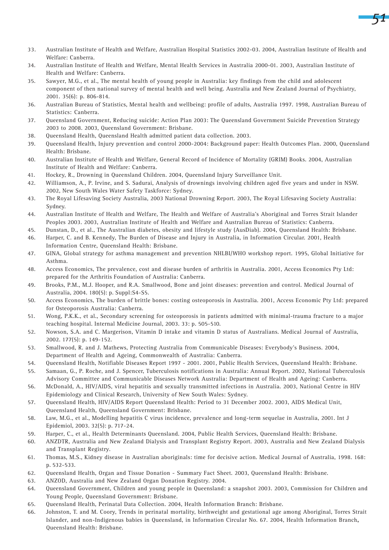

- 33. Australian Institute of Health and Welfare, Australian Hospital Statistics 2002-03. 2004, Australian Institute of Health and Welfare: Canberra.
- 34. Australian Institute of Health and Welfare, Mental Health Services in Australia 2000-01. 2003, Australian Institute of Health and Welfare: Canberra.
- 35. Sawyer, M.G., et al., The mental health of young people in Australia: key findings from the child and adolescent component of then national survey of mental health and well being. Australia and New Zealand Journal of Psychiatry, 2001. 35(6): p. 806-814.
- 36. Australian Bureau of Statistics, Mental health and wellbeing: profile of adults, Australia 1997. 1998, Australian Bureau of Statistics: Canberra.
- 37. Queensland Government, Reducing suicide: Action Plan 2003: The Queensland Government Suicide Prevention Strategy 2003 to 2008. 2003, Queensland Government: Brisbane.
- 38. Queensland Health, Queensland Health admitted patient data collection. 2003.
- 39. Queensland Health, Injury prevention and control 2000-2004: Background paper: Health Outcomes Plan. 2000, Queensland Health: Brisbane.
- 40. Australian Institute of Health and Welfare, General Record of Incidence of Mortality (GRIM) Books. 2004, Australian Institute of Health and Welfare: Canberra.
- 41. Hockey, R., Drowning in Queensland Children. 2004, Queensland Injury Surveillance Unit.
- 42. Williamson, A., P. Irvine, and S. Sadurai, Analysis of drownings involving children aged five years and under in NSW. 2002, New South Wales Water Safety Taskforce: Sydney.
- 43. The Royal Lifesaving Society Australia, 2003 National Drowning Report. 2003, The Royal Lifesaving Society Australia: Sydney.
- 44. Australian Institute of Health and Welfare, The Health and Welfare of Australia's Aboriginal and Torres Strait Islander Peoples 2003. 2003, Australian Institute of Health and Welfare and Australian Bureau of Statistics: Canberra.
- 45. Dunstan, D., et al., The Australian diabetes, obesity and lifestyle study (AusDiab). 2004, Queensland Health: Brisbane.
- 46. Harper, C. and B. Kennedy, The Burden of Disease and Injury in Australia, in Information Circular. 2001, Health Information Centre, Queensland Health: Brisbane.
- 47. GINA, Global strategy for asthma management and prevention NHLBI/WHO workshop report. 1995, Global Initiative for Asthma.
- 48. Access Economics, The prevalence, cost and disease burden of arthritis in Australia. 2001, Access Economics Pty Ltd: prepared for the Arthritis Foundation of Australia: Canberra.
- 49. Brooks, P.M., M.J. Hooper, and R.A. Smallwood, Bone and joint diseases: prevention and control. Medical Journal of Australia, 2004. 180(5): p. Suppl:S4-S5.
- 50. Access Economics, The burden of brittle bones: costing osteoporosis in Australia. 2001, Access Economic Pty Ltd: prepared for Osteoporosis Australia: Canberra.
- 51. Wong, P.K.K., et al., Secondary screening for osteoporosis in patients admitted with minimal-trauma fracture to a major teaching hospital. Internal Medicine Journal, 2003. 33: p. 505-510.
- 52. Nowson, S.A. and C. Margerison, Vitamin D intake and vitamin D status of Australians. Medical Journal of Australia, 2002. 177(5): p. 149-152.
- 53. Smallwood, R. and J. Mathews, Protecting Australia from Communicable Diseases: Everybody's Business. 2004, Department of Health and Ageing, Commonwealth of Australia: Canberra.
- 54. Queensland Health, Notifiable Diseases Report 1997 2001. 2001, Public Health Services, Queensland Health: Brisbane. 55. Samaan, G., P. Roche, and J. Spencer, Tuberculosis notifications in Australia: Annual Report. 2002, National Tuberculosis
- Advisory Committee and Communicable Diseases Network Australia: Department of Health and Ageing: Canberra.
- 56. McDonald, A., HIV/AIDS, viral hepatitis and sexually transmitted infections in Australia. 2003, National Centre in HIV Epidemiology and Clinical Research, University of New South Wales: Sydney.
- 57. Queensland Health, HIV/AIDS Report Queensland Health: Period to 31 December 2002. 2003, AIDS Medical Unit, Queensland Health, Queensland Government: Brisbane.
- 58. Law, M.G., et al., Modelling hepatitis C virus incidence, prevalence and long-term sequelae in Australia, 2001. Int J Epidemiol, 2003. 32(5): p. 717-24.
- 59. Harper, C., et al., Health Determinants Queensland. 2004, Public Health Services, Queensland Health: Brisbane.
- 60. ANZDTR, Australia and New Zealand Dialysis and Transplant Registry Report. 2003, Australia and New Zealand Dialysis and Transplant Registry.
- 61. Thomas, M.S., Kidney disease in Australian aboriginals: time for decisive action. Medical Journal of Australia, 1998. 168: p. 532-533.
- 62. Queensland Health, Organ and Tissue Donation Summary Fact Sheet. 2003, Queensland Health: Brisbane.
- 63. ANZOD, Australia and New Zealand Organ Donation Registry. 2004.
- 64. Queensland Government, Children and young people in Queensland: a snapshot 2003. 2003, Commission for Children and Young People, Queensland Government: Brisbane.
- 65. Queensland Health, Perinatal Data Collection. 2004, Health Information Branch: Brisbane.
- 66. Johnston, T. and M. Coory, Trends in perinatal mortality, birthweight and gestational age among Aboriginal, Torres Strait Islander, and non-Indigenous babies in Queensland, in Information Circular No. 67. 2004, Health Information Branch, Queensland Health: Brisbane.